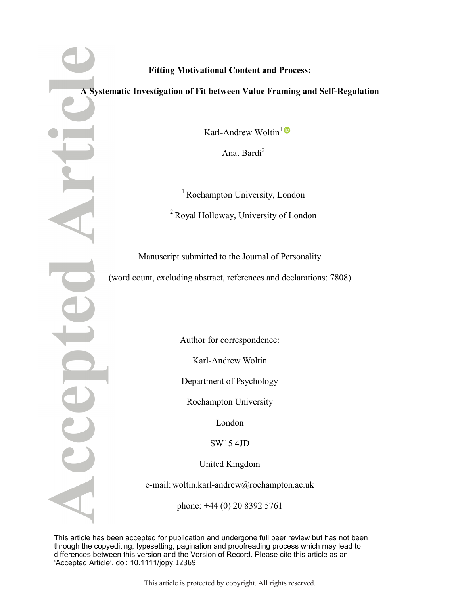## **Fitting Motivational Content and Process:**

#### **A Systematic Investigation of Fit between Value Framing and Self-Regulation**

Karl-Andrew Woltin<sup>1</sup>

Anat Bardi<sup>2</sup>

<sup>1</sup> Roehampton University, London <sup>2</sup> Royal Holloway, University of London

Manuscript submitted to the Journal of Personality (word count, excluding abstract, references and declarations: 7808)

Author for correspondence:

Karl-Andrew Woltin

Department of Psychology

Roehampton University

London

SW15 4JD

United Kingdom

e-mail: woltin.karl-andrew@roehampton.ac.uk

phone: +44 (0) 20 8392 5761

This article has been accepted for publication and undergone full peer review but has not been through the copyediting, typesetting, pagination and proofreading process which may lead to differences between this version and the Version of Record. Please cite this article as an 'Accepted Article', doi: 10.1111/jopy.12369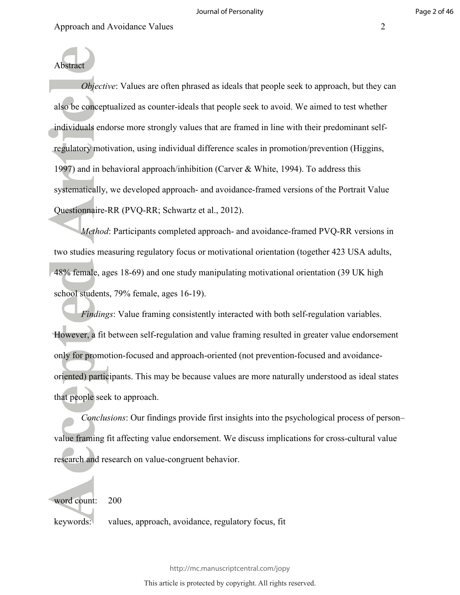Abstract

*Objective*: Values are often phrased as ideals that people seek to approach, but they can also be conceptualized as counter-ideals that people seek to avoid. We aimed to test whether individuals endorse more strongly values that are framed in line with their predominant selfregulatory motivation, using individual difference scales in promotion/prevention (Higgins, 1997) and in behavioral approach/inhibition (Carver & White, 1994). To address this systematically, we developed approach- and avoidance-framed versions of the Portrait Value Questionnaire-RR (PVQ-RR; Schwartz et al., 2012).

*Method*: Participants completed approach- and avoidance-framed PVQ-RR versions in two studies measuring regulatory focus or motivational orientation (together 423 USA adults, 48% female, ages 18-69) and one study manipulating motivational orientation (39 UK high school students, 79% female, ages 16-19).

*Findings*: Value framing consistently interacted with both self-regulation variables. However, a fit between self-regulation and value framing resulted in greater value endorsement only for promotion-focused and approach-oriented (not prevention-focused and avoidanceoriented) participants. This may be because values are more naturally understood as ideal states that people seek to approach.

*Conclusions*: Our findings provide first insights into the psychological process of person– value framing fit affecting value endorsement. We discuss implications for cross-cultural value research and research on value-congruent behavior.

word count: 200

keywords: values, approach, avoidance, regulatory focus, fit

http://mc.manuscriptcentral.com/jopy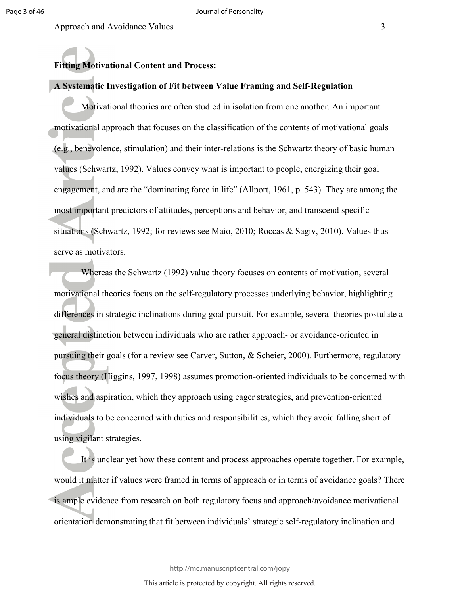#### **Fitting Motivational Content and Process:**

#### **A Systematic Investigation of Fit between Value Framing and Self-Regulation**

Motivational theories are often studied in isolation from one another. An important motivational approach that focuses on the classification of the contents of motivational goals (e.g., benevolence, stimulation) and their inter-relations is the Schwartz theory of basic human values (Schwartz, 1992). Values convey what is important to people, energizing their goal engagement, and are the "dominating force in life" (Allport, 1961, p. 543). They are among the most important predictors of attitudes, perceptions and behavior, and transcend specific situations (Schwartz, 1992; for reviews see Maio, 2010; Roccas & Sagiv, 2010). Values thus serve as motivators.

Whereas the Schwartz (1992) value theory focuses on contents of motivation, several motivational theories focus on the self-regulatory processes underlying behavior, highlighting differences in strategic inclinations during goal pursuit. For example, several theories postulate a general distinction between individuals who are rather approach- or avoidance-oriented in pursuing their goals (for a review see Carver, Sutton, & Scheier, 2000). Furthermore, regulatory focus theory (Higgins, 1997, 1998) assumes promotion-oriented individuals to be concerned with wishes and aspiration, which they approach using eager strategies, and prevention-oriented individuals to be concerned with duties and responsibilities, which they avoid falling short of using vigilant strategies.

It is unclear yet how these content and process approaches operate together. For example, would it matter if values were framed in terms of approach or in terms of avoidance goals? There is ample evidence from research on both regulatory focus and approach/avoidance motivational orientation demonstrating that fit between individuals' strategic self-regulatory inclination and

http://mc.manuscriptcentral.com/jopy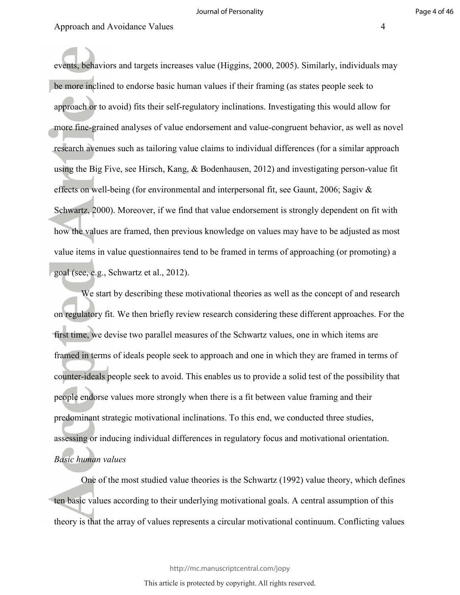events, behaviors and targets increases value (Higgins, 2000, 2005). Similarly, individuals may be more inclined to endorse basic human values if their framing (as states people seek to approach or to avoid) fits their self-regulatory inclinations. Investigating this would allow for more fine-grained analyses of value endorsement and value-congruent behavior, as well as novel research avenues such as tailoring value claims to individual differences (for a similar approach using the Big Five, see Hirsch, Kang, & Bodenhausen, 2012) and investigating person-value fit effects on well-being (for environmental and interpersonal fit, see Gaunt, 2006; Sagiv & Schwartz, 2000). Moreover, if we find that value endorsement is strongly dependent on fit with how the values are framed, then previous knowledge on values may have to be adjusted as most value items in value questionnaires tend to be framed in terms of approaching (or promoting) a goal (see, e.g., Schwartz et al., 2012).

We start by describing these motivational theories as well as the concept of and research on regulatory fit. We then briefly review research considering these different approaches. For the first time, we devise two parallel measures of the Schwartz values, one in which items are framed in terms of ideals people seek to approach and one in which they are framed in terms of counter-ideals people seek to avoid. This enables us to provide a solid test of the possibility that people endorse values more strongly when there is a fit between value framing and their predominant strategic motivational inclinations. To this end, we conducted three studies, assessing or inducing individual differences in regulatory focus and motivational orientation. *Basic human values* 

One of the most studied value theories is the Schwartz (1992) value theory, which defines ten basic values according to their underlying motivational goals. A central assumption of this theory is that the array of values represents a circular motivational continuum. Conflicting values

http://mc.manuscriptcentral.com/jopy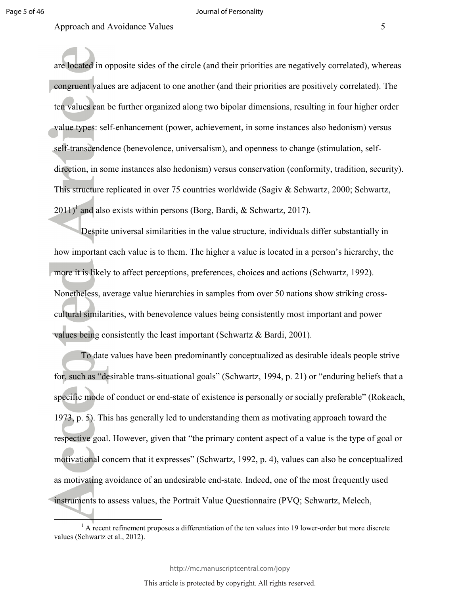l

#### Approach and Avoidance Values 5

are located in opposite sides of the circle (and their priorities are negatively correlated), whereas congruent values are adjacent to one another (and their priorities are positively correlated). The ten values can be further organized along two bipolar dimensions, resulting in four higher order value types: self-enhancement (power, achievement, in some instances also hedonism) versus self-transcendence (benevolence, universalism), and openness to change (stimulation, selfdirection, in some instances also hedonism) versus conservation (conformity, tradition, security). This structure replicated in over 75 countries worldwide (Sagiv & Schwartz, 2000; Schwartz,  $2011$ <sup>1</sup> and also exists within persons (Borg, Bardi, & Schwartz, 2017).

Despite universal similarities in the value structure, individuals differ substantially in how important each value is to them. The higher a value is located in a person's hierarchy, the more it is likely to affect perceptions, preferences, choices and actions (Schwartz, 1992). Nonetheless, average value hierarchies in samples from over 50 nations show striking crosscultural similarities, with benevolence values being consistently most important and power values being consistently the least important (Schwartz & Bardi, 2001).

To date values have been predominantly conceptualized as desirable ideals people strive for, such as "desirable trans-situational goals" (Schwartz, 1994, p. 21) or "enduring beliefs that a specific mode of conduct or end-state of existence is personally or socially preferable" (Rokeach, 1973, p. 5). This has generally led to understanding them as motivating approach toward the respective goal. However, given that "the primary content aspect of a value is the type of goal or motivational concern that it expresses" (Schwartz, 1992, p. 4), values can also be conceptualized as motivating avoidance of an undesirable end-state. Indeed, one of the most frequently used instruments to assess values, the Portrait Value Questionnaire (PVQ; Schwartz, Melech,

http://mc.manuscriptcentral.com/jopy

 $<sup>1</sup>$  A recent refinement proposes a differentiation of the ten values into 19 lower-order but more discrete</sup> values (Schwartz et al., 2012).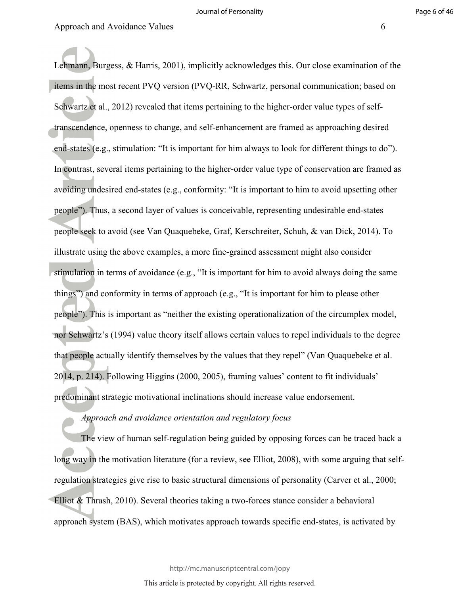Lehmann, Burgess, & Harris, 2001), implicitly acknowledges this. Our close examination of the items in the most recent PVQ version (PVQ-RR, Schwartz, personal communication; based on Schwartz et al., 2012) revealed that items pertaining to the higher-order value types of selftranscendence, openness to change, and self-enhancement are framed as approaching desired end-states (e.g., stimulation: "It is important for him always to look for different things to do"). In contrast, several items pertaining to the higher-order value type of conservation are framed as avoiding undesired end-states (e.g., conformity: "It is important to him to avoid upsetting other people"). Thus, a second layer of values is conceivable, representing undesirable end-states people seek to avoid (see Van Quaquebeke, Graf, Kerschreiter, Schuh, & van Dick, 2014). To illustrate using the above examples, a more fine-grained assessment might also consider stimulation in terms of avoidance (e.g., "It is important for him to avoid always doing the same things") and conformity in terms of approach (e.g., "It is important for him to please other people"). This is important as "neither the existing operationalization of the circumplex model, nor Schwartz's (1994) value theory itself allows certain values to repel individuals to the degree that people actually identify themselves by the values that they repel" (Van Quaquebeke et al. 2014, p. 214). Following Higgins (2000, 2005), framing values' content to fit individuals' predominant strategic motivational inclinations should increase value endorsement.

#### *Approach and avoidance orientation and regulatory focus*

The view of human self-regulation being guided by opposing forces can be traced back a long way in the motivation literature (for a review, see Elliot, 2008), with some arguing that selfregulation strategies give rise to basic structural dimensions of personality (Carver et al., 2000; Elliot & Thrash, 2010). Several theories taking a two-forces stance consider a behavioral approach system (BAS), which motivates approach towards specific end-states, is activated by

http://mc.manuscriptcentral.com/jopy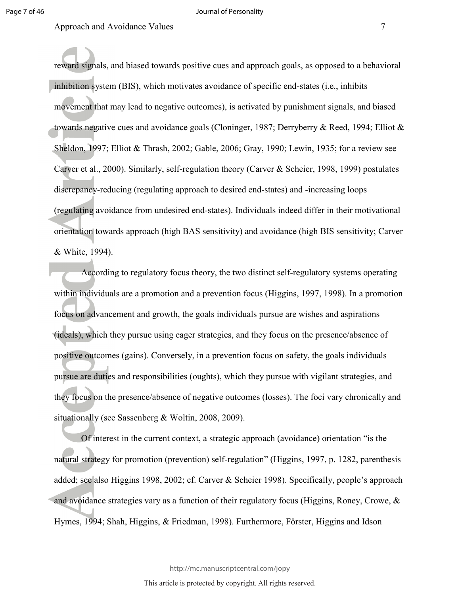reward signals, and biased towards positive cues and approach goals, as opposed to a behavioral inhibition system (BIS), which motivates avoidance of specific end-states (i.e., inhibits movement that may lead to negative outcomes), is activated by punishment signals, and biased towards negative cues and avoidance goals (Cloninger, 1987; Derryberry & Reed, 1994; Elliot & Sheldon, 1997; Elliot & Thrash, 2002; Gable, 2006; Gray, 1990; Lewin, 1935; for a review see Carver et al., 2000). Similarly, self-regulation theory (Carver & Scheier, 1998, 1999) postulates discrepancy-reducing (regulating approach to desired end-states) and -increasing loops (regulating avoidance from undesired end-states). Individuals indeed differ in their motivational orientation towards approach (high BAS sensitivity) and avoidance (high BIS sensitivity; Carver & White, 1994).

According to regulatory focus theory, the two distinct self-regulatory systems operating within individuals are a promotion and a prevention focus (Higgins, 1997, 1998). In a promotion focus on advancement and growth, the goals individuals pursue are wishes and aspirations (ideals), which they pursue using eager strategies, and they focus on the presence/absence of positive outcomes (gains). Conversely, in a prevention focus on safety, the goals individuals pursue are duties and responsibilities (oughts), which they pursue with vigilant strategies, and they focus on the presence/absence of negative outcomes (losses). The foci vary chronically and situationally (see Sassenberg & Woltin, 2008, 2009).

Of interest in the current context, a strategic approach (avoidance) orientation "is the natural strategy for promotion (prevention) self-regulation" (Higgins, 1997, p. 1282, parenthesis added; see also Higgins 1998, 2002; cf. Carver & Scheier 1998). Specifically, people's approach and avoidance strategies vary as a function of their regulatory focus (Higgins, Roney, Crowe, & Hymes, 1994; Shah, Higgins, & Friedman, 1998). Furthermore, Förster, Higgins and Idson

http://mc.manuscriptcentral.com/jopy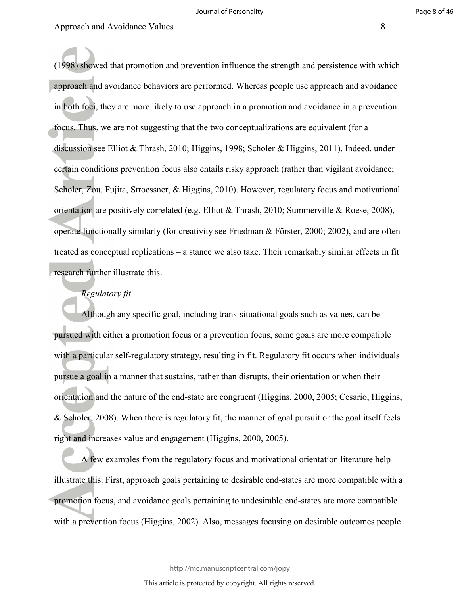(1998) showed that promotion and prevention influence the strength and persistence with which approach and avoidance behaviors are performed. Whereas people use approach and avoidance in both foci, they are more likely to use approach in a promotion and avoidance in a prevention focus. Thus, we are not suggesting that the two conceptualizations are equivalent (for a discussion see Elliot & Thrash, 2010; Higgins, 1998; Scholer & Higgins, 2011). Indeed, under certain conditions prevention focus also entails risky approach (rather than vigilant avoidance; Scholer, Zou, Fujita, Stroessner, & Higgins, 2010). However, regulatory focus and motivational orientation are positively correlated (e.g. Elliot & Thrash, 2010; Summerville & Roese, 2008), operate functionally similarly (for creativity see Friedman & Förster, 2000; 2002), and are often treated as conceptual replications – a stance we also take. Their remarkably similar effects in fit research further illustrate this.

#### *Regulatory fit*

Although any specific goal, including trans-situational goals such as values, can be pursued with either a promotion focus or a prevention focus, some goals are more compatible with a particular self-regulatory strategy, resulting in fit. Regulatory fit occurs when individuals pursue a goal in a manner that sustains, rather than disrupts, their orientation or when their orientation and the nature of the end-state are congruent (Higgins, 2000, 2005; Cesario, Higgins, & Scholer, 2008). When there is regulatory fit, the manner of goal pursuit or the goal itself feels right and increases value and engagement (Higgins, 2000, 2005).

A few examples from the regulatory focus and motivational orientation literature help illustrate this. First, approach goals pertaining to desirable end-states are more compatible with a promotion focus, and avoidance goals pertaining to undesirable end-states are more compatible with a prevention focus (Higgins, 2002). Also, messages focusing on desirable outcomes people

http://mc.manuscriptcentral.com/jopy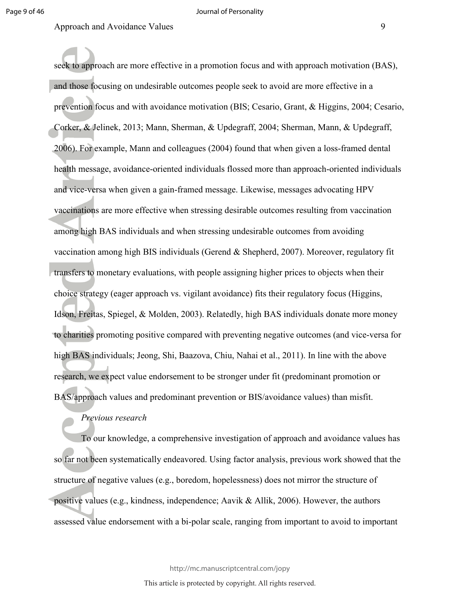seek to approach are more effective in a promotion focus and with approach motivation (BAS), and those focusing on undesirable outcomes people seek to avoid are more effective in a prevention focus and with avoidance motivation (BIS; Cesario, Grant, & Higgins, 2004; Cesario, Corker, & Jelinek, 2013; Mann, Sherman, & Updegraff, 2004; Sherman, Mann, & Updegraff, 2006). For example, Mann and colleagues (2004) found that when given a loss-framed dental health message, avoidance-oriented individuals flossed more than approach-oriented individuals and vice-versa when given a gain-framed message. Likewise, messages advocating HPV vaccinations are more effective when stressing desirable outcomes resulting from vaccination among high BAS individuals and when stressing undesirable outcomes from avoiding vaccination among high BIS individuals (Gerend & Shepherd, 2007). Moreover, regulatory fit transfers to monetary evaluations, with people assigning higher prices to objects when their choice strategy (eager approach vs. vigilant avoidance) fits their regulatory focus (Higgins, Idson, Freitas, Spiegel, & Molden, 2003). Relatedly, high BAS individuals donate more money to charities promoting positive compared with preventing negative outcomes (and vice-versa for high BAS individuals; Jeong, Shi, Baazova, Chiu, Nahai et al., 2011). In line with the above research, we expect value endorsement to be stronger under fit (predominant promotion or BAS/approach values and predominant prevention or BIS/avoidance values) than misfit.

#### *Previous research*

To our knowledge, a comprehensive investigation of approach and avoidance values has so far not been systematically endeavored. Using factor analysis, previous work showed that the structure of negative values (e.g., boredom, hopelessness) does not mirror the structure of positive values (e.g., kindness, independence; Aavik & Allik, 2006). However, the authors assessed value endorsement with a bi-polar scale, ranging from important to avoid to important

http://mc.manuscriptcentral.com/jopy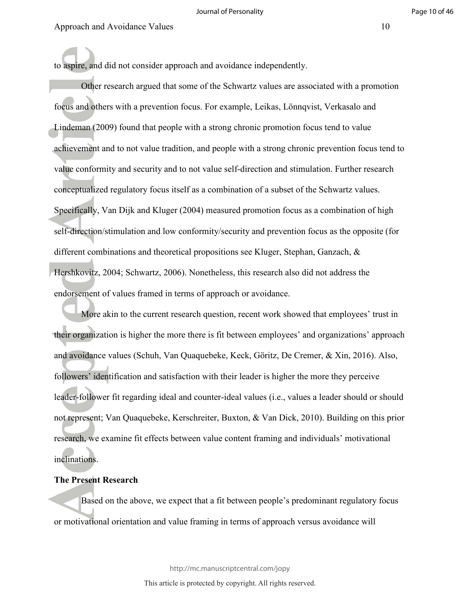to aspire, and did not consider approach and avoidance independently.

Other research argued that some of the Schwartz values are associated with a promotion focus and others with a prevention focus. For example, Leikas, Lönnqvist, Verkasalo and Lindeman (2009) found that people with a strong chronic promotion focus tend to value achievement and to not value tradition, and people with a strong chronic prevention focus tend to value conformity and security and to not value self-direction and stimulation. Further research conceptualized regulatory focus itself as a combination of a subset of the Schwartz values. Specifically, Van Dijk and Kluger (2004) measured promotion focus as a combination of high self-direction/stimulation and low conformity/security and prevention focus as the opposite (for different combinations and theoretical propositions see Kluger, Stephan, Ganzach, & Hershkovitz, 2004; Schwartz, 2006). Nonetheless, this research also did not address the endorsement of values framed in terms of approach or avoidance.

More akin to the current research question, recent work showed that employees' trust in their organization is higher the more there is fit between employees' and organizations' approach and avoidance values (Schuh, Van Quaquebeke, Keck, Göritz, De Cremer, & Xin, 2016). Also, followers' identification and satisfaction with their leader is higher the more they perceive leader-follower fit regarding ideal and counter-ideal values (i.e., values a leader should or should not represent; Van Quaquebeke, Kerschreiter, Buxton, & Van Dick, 2010). Building on this prior research, we examine fit effects between value content framing and individuals' motivational inclinations.

#### **The Present Research**

Based on the above, we expect that a fit between people's predominant regulatory focus or motivational orientation and value framing in terms of approach versus avoidance will

http://mc.manuscriptcentral.com/jopy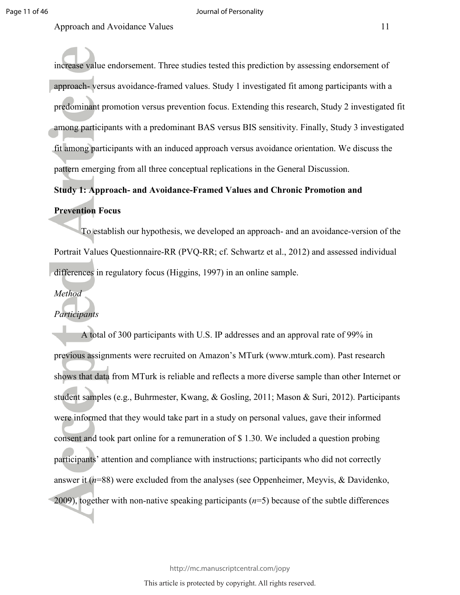increase value endorsement. Three studies tested this prediction by assessing endorsement of approach- versus avoidance-framed values. Study 1 investigated fit among participants with a predominant promotion versus prevention focus. Extending this research, Study 2 investigated fit among participants with a predominant BAS versus BIS sensitivity. Finally, Study 3 investigated fit among participants with an induced approach versus avoidance orientation. We discuss the pattern emerging from all three conceptual replications in the General Discussion.

# **Study 1: Approach- and Avoidance-Framed Values and Chronic Promotion and**

# **Prevention Focus**

To establish our hypothesis, we developed an approach- and an avoidance-version of the Portrait Values Questionnaire-RR (PVQ-RR; cf. Schwartz et al., 2012) and assessed individual differences in regulatory focus (Higgins, 1997) in an online sample.

#### *Method*

#### *Participants*

A total of 300 participants with U.S. IP addresses and an approval rate of 99% in previous assignments were recruited on Amazon's MTurk (www.mturk.com). Past research shows that data from MTurk is reliable and reflects a more diverse sample than other Internet or student samples (e.g., Buhrmester, Kwang, & Gosling, 2011; Mason & Suri, 2012). Participants were informed that they would take part in a study on personal values, gave their informed consent and took part online for a remuneration of \$ 1.30. We included a question probing participants' attention and compliance with instructions; participants who did not correctly answer it (*n*=88) were excluded from the analyses (see Oppenheimer, Meyvis, & Davidenko, 2009), together with non-native speaking participants (*n*=5) because of the subtle differences

http://mc.manuscriptcentral.com/jopy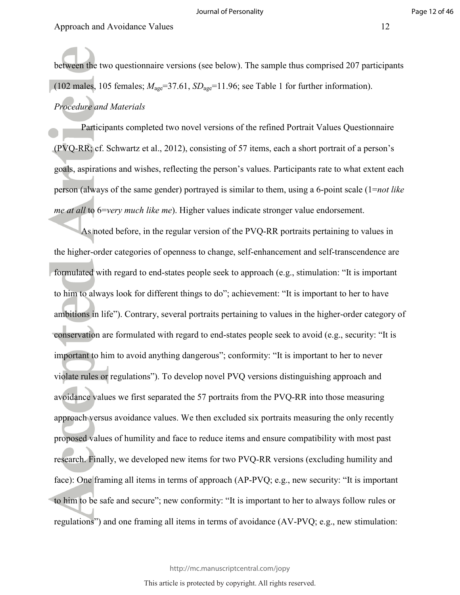between the two questionnaire versions (see below). The sample thus comprised 207 participants (102 males, 105 females;  $M_{\text{age}} = 37.61$ ,  $SD_{\text{age}} = 11.96$ ; see Table 1 for further information).

# *Procedure and Materials*

Participants completed two novel versions of the refined Portrait Values Questionnaire (PVQ-RR; cf. Schwartz et al., 2012), consisting of 57 items, each a short portrait of a person's goals, aspirations and wishes, reflecting the person's values. Participants rate to what extent each person (always of the same gender) portrayed is similar to them, using a 6-point scale (1=*not like me at all* to 6=*very much like me*). Higher values indicate stronger value endorsement.

As noted before, in the regular version of the PVQ-RR portraits pertaining to values in the higher-order categories of openness to change, self-enhancement and self-transcendence are formulated with regard to end-states people seek to approach (e.g., stimulation: "It is important to him to always look for different things to do"; achievement: "It is important to her to have ambitions in life"). Contrary, several portraits pertaining to values in the higher-order category of conservation are formulated with regard to end-states people seek to avoid (e.g., security: "It is important to him to avoid anything dangerous"; conformity: "It is important to her to never violate rules or regulations"). To develop novel PVQ versions distinguishing approach and avoidance values we first separated the 57 portraits from the PVQ-RR into those measuring approach versus avoidance values. We then excluded six portraits measuring the only recently proposed values of humility and face to reduce items and ensure compatibility with most past research. Finally, we developed new items for two PVQ-RR versions (excluding humility and face): One framing all items in terms of approach (AP-PVQ; e.g., new security: "It is important to him to be safe and secure"; new conformity: "It is important to her to always follow rules or regulations") and one framing all items in terms of avoidance (AV-PVQ; e.g., new stimulation:

http://mc.manuscriptcentral.com/jopy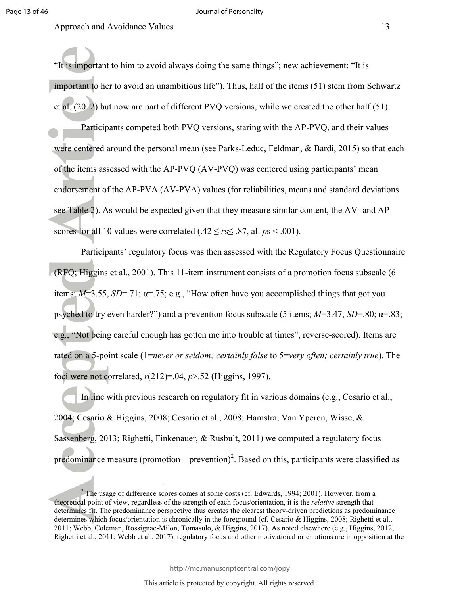l

Approach and Avoidance Values 13

"It is important to him to avoid always doing the same things"; new achievement: "It is important to her to avoid an unambitious life"). Thus, half of the items (51) stem from Schwartz et al. (2012) but now are part of different PVQ versions, while we created the other half (51).

Participants competed both PVQ versions, staring with the AP-PVQ, and their values were centered around the personal mean (see Parks-Leduc, Feldman, & Bardi, 2015) so that each of the items assessed with the AP-PVQ (AV-PVQ) was centered using participants' mean endorsement of the AP-PVA (AV-PVA) values (for reliabilities, means and standard deviations see Table 2). As would be expected given that they measure similar content, the AV- and APscores for all 10 values were correlated  $(.42 \le r s \le .87,$  all  $ps < .001$ ).

Participants' regulatory focus was then assessed with the Regulatory Focus Questionnaire (RFQ; Higgins et al., 2001). This 11-item instrument consists of a promotion focus subscale (6 items;  $M=3.55$ ,  $SD=.71$ ;  $\alpha=.75$ ; e.g., "How often have you accomplished things that got you psyched to try even harder?") and a prevention focus subscale (5 items;  $M=3.47$ ,  $SD=.80$ ;  $\alpha=.83$ ; e.g., "Not being careful enough has gotten me into trouble at times", reverse-scored). Items are rated on a 5-point scale (1=*never or seldom; certainly false* to 5=*very often; certainly true*). The foci were not correlated, *r*(212)=.04, *p*>.52 (Higgins, 1997).

In line with previous research on regulatory fit in various domains (e.g., Cesario et al., 2004; Cesario & Higgins, 2008; Cesario et al., 2008; Hamstra, Van Yperen, Wisse, & Sassenberg, 2013; Righetti, Finkenauer, & Rusbult, 2011) we computed a regulatory focus predominance measure (promotion – prevention)<sup>2</sup>. Based on this, participants were classified as

http://mc.manuscriptcentral.com/jopy

 $2^2$  The usage of difference scores comes at some costs (cf. Edwards, 1994; 2001). However, from a theoretical point of view, regardless of the strength of each focus/orientation, it is the *relative* strength that determines fit. The predominance perspective thus creates the clearest theory-driven predictions as predominance determines which focus/orientation is chronically in the foreground (cf. Cesario & Higgins, 2008; Righetti et al., 2011; Webb, Coleman, Rossignac-Milon, Tomasulo, & Higgins, 2017). As noted elsewhere (e.g., Higgins, 2012; Righetti et al., 2011; Webb et al., 2017), regulatory focus and other motivational orientations are in opposition at the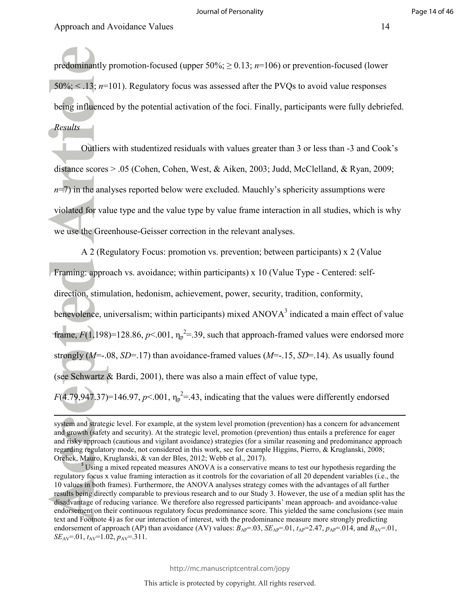$\overline{a}$ 

predominantly promotion-focused (upper  $50\%$ ;  $\geq 0.13$ ;  $n=106$ ) or prevention-focused (lower 50%; < .13; *n*=101). Regulatory focus was assessed after the PVQs to avoid value responses being influenced by the potential activation of the foci. Finally, participants were fully debriefed. *Results* 

Outliers with studentized residuals with values greater than 3 or less than -3 and Cook's distance scores > .05 (Cohen, Cohen, West, & Aiken, 2003; Judd, McClelland, & Ryan, 2009;  $n=7$ ) in the analyses reported below were excluded. Mauchly's sphericity assumptions were violated for value type and the value type by value frame interaction in all studies, which is why we use the Greenhouse-Geisser correction in the relevant analyses.

A 2 (Regulatory Focus: promotion vs. prevention; between participants) x 2 (Value Framing: approach vs. avoidance; within participants) x 10 (Value Type - Centered: selfdirection, stimulation, hedonism, achievement, power, security, tradition, conformity, benevolence, universalism; within participants) mixed  $ANOVA<sup>3</sup>$  indicated a main effect of value frame,  $F(1,198)=128.86$ ,  $p<.001$ ,  $\eta_p^2=.39$ , such that approach-framed values were endorsed more strongly (*M*=-.08, *SD*=.17) than avoidance-framed values (*M*=-.15, *SD*=.14). As usually found (see Schwartz & Bardi, 2001), there was also a main effect of value type,  $F(4.79, 947.37) = 146.97$ ,  $p < 0.01$ ,  $\eta_p^2 = 0.43$ , indicating that the values were differently endorsed

system and strategic level. For example, at the system level promotion (prevention) has a concern for advancement and growth (safety and security). At the strategic level, promotion (prevention) thus entails a preference for eager and risky approach (cautious and vigilant avoidance) strategies (for a similar reasoning and predominance approach regarding regulatory mode, not considered in this work, see for example Higgins, Pierro, & Kruglanski, 2008; Orehek, Mauro, Kruglanski, & van der Bles, 2012; Webb et al., 2017).

 $3$  Using a mixed repeated measures ANOVA is a conservative means to test our hypothesis regarding the regulatory focus x value framing interaction as it controls for the covariation of all 20 dependent variables (i.e., the 10 values in both frames). Furthermore, the ANOVA analyses strategy comes with the advantages of all further results being directly comparable to previous research and to our Study 3. However, the use of a median split has the disadvantage of reducing variance. We therefore also regressed participants' mean approach- and avoidance-value endorsement on their continuous regulatory focus predominance score. This yielded the same conclusions (see main text and Footnote 4) as for our interaction of interest, with the predominance measure more strongly predicting endorsement of approach (AP) than avoidance (AV) values:  $B_{AP} = .03$ ,  $SE_{AP} = .01$ ,  $t_{AP} = 2.47$ ,  $p_{AP} = .014$ , and  $B_{AV} = .01$ ,  $SE_{AV} = 01$ ,  $t_{AV} = 1.02$ ,  $p_{AV} = 311$ .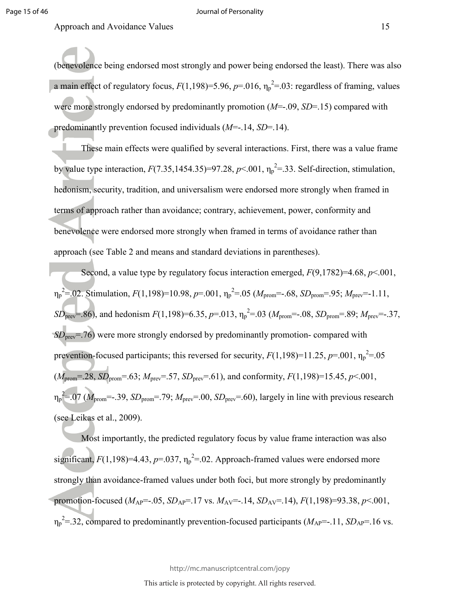#### Journal of Personality

Approach and Avoidance Values 15

(benevolence being endorsed most strongly and power being endorsed the least). There was also a main effect of regulatory focus,  $F(1,198)=5.96$ ,  $p=.016$ ,  $\eta_p^2=.03$ : regardless of framing, values were more strongly endorsed by predominantly promotion (*M*=-.09, *SD*=.15) compared with predominantly prevention focused individuals (*M*=-.14, *SD*=.14).

These main effects were qualified by several interactions. First, there was a value frame by value type interaction,  $F(7.35, 1454.35)=97.28$ ,  $p<0.01$ ,  $\eta_p^2=.33$ . Self-direction, stimulation, hedonism, security, tradition, and universalism were endorsed more strongly when framed in terms of approach rather than avoidance; contrary, achievement, power, conformity and benevolence were endorsed more strongly when framed in terms of avoidance rather than approach (see Table 2 and means and standard deviations in parentheses).

Second, a value type by regulatory focus interaction emerged, *F*(9,1782)=4.68, *p*<.001,  $\eta_p^2 = 0.02$ . Stimulation,  $F(1,198) = 10.98$ ,  $p = .001$ ,  $\eta_p^2 = .05$  ( $M_{\text{prom}} = .68$ ,  $SD_{\text{prom}} = .95$ ;  $M_{\text{prev}} = -1.11$ ,  $SD_{prev} = .86$ ), and hedonism  $F(1,198) = 6.35$ ,  $p = .013$ ,  $\eta_p^2 = .03$  ( $M_{prom} = .08$ ,  $SD_{prom} = .89$ ;  $M_{prev} = .37$ , *SD*<sub>prev</sub>=.76) were more strongly endorsed by predominantly promotion- compared with prevention-focused participants; this reversed for security,  $F(1,198)=11.25$ ,  $p=.001$ ,  $\eta_p^2=.05$  $(M_{\text{prom}}=.28, SD_{\text{prom}}=.63; M_{\text{prev}}=.57, SD_{\text{prev}}=.61)$ , and conformity,  $F(1,198)=15.45, p<.001$ ,  $\eta_p^2 = 0.07$  ( $M_{\text{prom}} = -0.39$ ,  $SD_{\text{prom}} = 0.79$ ;  $M_{\text{prev}} = 0.00$ ,  $SD_{\text{prev}} = 0.60$ ), largely in line with previous research (see Leikas et al., 2009).

Most importantly, the predicted regulatory focus by value frame interaction was also significant,  $F(1,198)=4.43$ ,  $p=.037$ ,  $\eta_p^2=.02$ . Approach-framed values were endorsed more strongly than avoidance-framed values under both foci, but more strongly by predominantly promotion-focused ( $M_{AP}$ =-.05,  $SD_{AP}$ =.17 vs.  $M_{AY}$ =-.14,  $SD_{AY}$ =.14),  $F(1,198)$ =93.38,  $p$ <.001,  $\eta_p^2 = 32$ , compared to predominantly prevention-focused participants ( $M_{AP} = -11$ ,  $SD_{AP} = 16$  vs.

http://mc.manuscriptcentral.com/jopy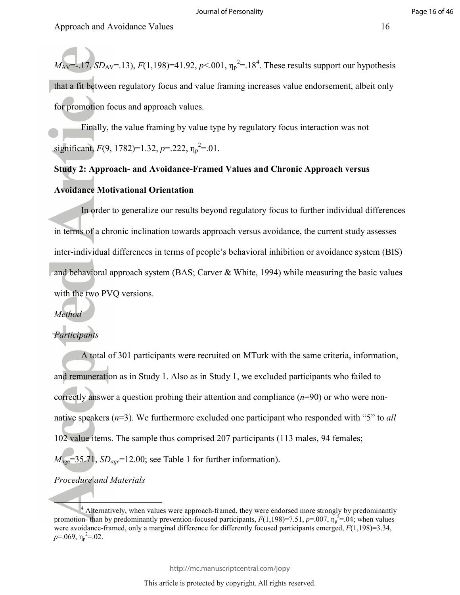$M_{\rm AV}$ =-.17, *SD*<sub>AV</sub>=.13), *F*(1,198)=41.92, *p*<.001,  $\eta_{\rm p}$ <sup>2</sup>=.18<sup>4</sup>. These results support our hypothesis that a fit between regulatory focus and value framing increases value endorsement, albeit only for promotion focus and approach values.

Finally, the value framing by value type by regulatory focus interaction was not significant,  $F(9, 1782)=1.32, p=.222, \eta_p^2=.01$ .

# **Study 2: Approach- and Avoidance-Framed Values and Chronic Approach versus Avoidance Motivational Orientation**

In order to generalize our results beyond regulatory focus to further individual differences in terms of a chronic inclination towards approach versus avoidance, the current study assesses inter-individual differences in terms of people's behavioral inhibition or avoidance system (BIS) and behavioral approach system (BAS; Carver & White, 1994) while measuring the basic values with the two PVQ versions.

#### *Method*

#### *Participants*

A total of 301 participants were recruited on MTurk with the same criteria, information, and remuneration as in Study 1. Also as in Study 1, we excluded participants who failed to correctly answer a question probing their attention and compliance (*n*=90) or who were nonnative speakers (*n*=3). We furthermore excluded one participant who responded with "5" to *all* 102 value items. The sample thus comprised 207 participants (113 males, 94 females;  $M_{\text{age}}$ =35.71,  $SD_{\text{age}}$ =12.00; see Table 1 for further information).

#### *Procedure and Materials*

Į

<sup>&</sup>lt;sup>4</sup> Alternatively, when values were approach-framed, they were endorsed more strongly by predominantly promotion- than by predominantly prevention-focused participants,  $F(1,198)=7.51$ ,  $p=0.07$ ,  $\eta_p^2=0.04$ ; when values were avoidance-framed, only a marginal difference for differently focused participants emerged,  $F(1,198)=3.34$ ,  $p=0.069, \eta_p^2=0.02$ .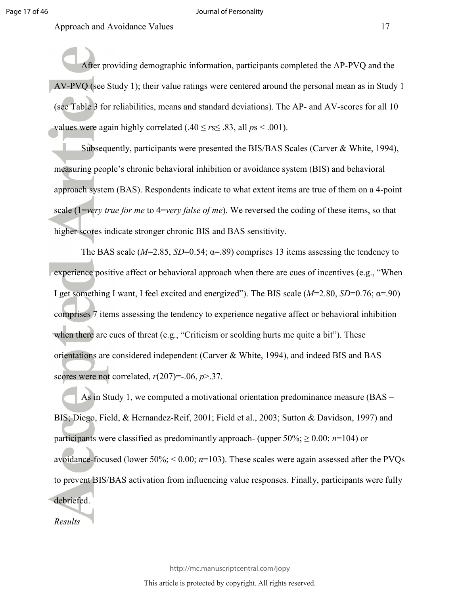#### Journal of Personality

Approach and Avoidance Values 17

After providing demographic information, participants completed the AP-PVQ and the AV-PVQ (see Study 1); their value ratings were centered around the personal mean as in Study 1 (see Table 3 for reliabilities, means and standard deviations). The AP- and AV-scores for all 10 values were again highly correlated (.40  $\leq$  *r*s $\leq$  .83, all *p*s < .001).

Subsequently, participants were presented the BIS/BAS Scales (Carver & White, 1994), measuring people's chronic behavioral inhibition or avoidance system (BIS) and behavioral approach system (BAS). Respondents indicate to what extent items are true of them on a 4-point scale (1=*very true for me* to 4=*very false of me*). We reversed the coding of these items, so that higher scores indicate stronger chronic BIS and BAS sensitivity.

The BAS scale ( $M=2.85$ ,  $SD=0.54$ ;  $\alpha=0.89$ ) comprises 13 items assessing the tendency to experience positive affect or behavioral approach when there are cues of incentives (e.g., "When I get something I want, I feel excited and energized"). The BIS scale  $(M=2.80, SD=0.76; \alpha=.90)$ comprises 7 items assessing the tendency to experience negative affect or behavioral inhibition when there are cues of threat (e.g., "Criticism or scolding hurts me quite a bit"). These orientations are considered independent (Carver & White, 1994), and indeed BIS and BAS scores were not correlated,  $r(207) = -0.06$ ,  $p > 0.37$ .

As in Study 1, we computed a motivational orientation predominance measure (BAS – BIS; Diego, Field, & Hernandez-Reif, 2001; Field et al., 2003; Sutton & Davidson, 1997) and participants were classified as predominantly approach- (upper  $50\%$ ;  $\geq 0.00$ ; *n*=104) or avoidance-focused (lower 50%; < 0.00; *n*=103). These scales were again assessed after the PVQs to prevent BIS/BAS activation from influencing value responses. Finally, participants were fully debriefed.

*Results* 

http://mc.manuscriptcentral.com/jopy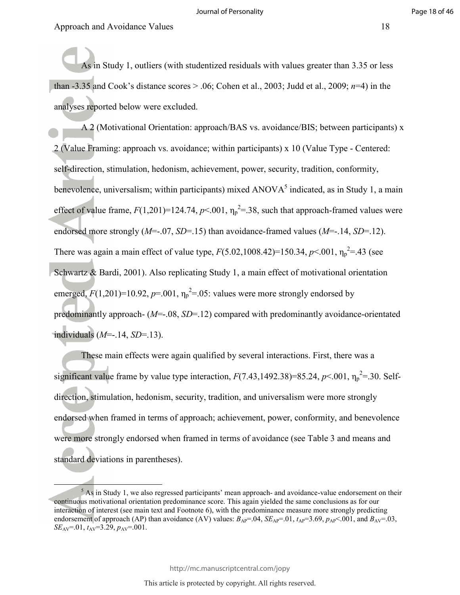l

As in Study 1, outliers (with studentized residuals with values greater than 3.35 or less than -3.35 and Cook's distance scores > .06; Cohen et al., 2003; Judd et al., 2009; *n*=4) in the analyses reported below were excluded.

A 2 (Motivational Orientation: approach/BAS vs. avoidance/BIS; between participants) x 2 (Value Framing: approach vs. avoidance; within participants) x 10 (Value Type - Centered: self-direction, stimulation, hedonism, achievement, power, security, tradition, conformity, benevolence, universalism; within participants) mixed  $ANOVA<sup>5</sup>$  indicated, as in Study 1, a main effect of value frame,  $F(1,201)=124.74$ ,  $p<.001$ ,  $\eta_p^2=.38$ , such that approach-framed values were endorsed more strongly (*M*=-.07, *SD*=.15) than avoidance-framed values (*M*=-.14, *SD*=.12). There was again a main effect of value type,  $F(5.02, 1008.42)=150.34, p<.001, \eta_p^2=43$  (see Schwartz & Bardi, 2001). Also replicating Study 1, a main effect of motivational orientation emerged,  $F(1,201)=10.92$ ,  $p=.001$ ,  $\eta_p^2=.05$ : values were more strongly endorsed by predominantly approach- (*M*=-.08, *SD*=.12) compared with predominantly avoidance-orientated individuals (*M*=-.14, *SD*=.13).

These main effects were again qualified by several interactions. First, there was a significant value frame by value type interaction,  $F(7.43,1492.38)=85.24, p<.001, \eta_p^2=30$ . Selfdirection, stimulation, hedonism, security, tradition, and universalism were more strongly endorsed when framed in terms of approach; achievement, power, conformity, and benevolence were more strongly endorsed when framed in terms of avoidance (see Table 3 and means and standard deviations in parentheses).

 $5$  As in Study 1, we also regressed participants' mean approach- and avoidance-value endorsement on their continuous motivational orientation predominance score. This again yielded the same conclusions as for our interaction of interest (see main text and Footnote 6), with the predominance measure more strongly predicting endorsement of approach (AP) than avoidance (AV) values:  $B_{AP}$ =.04,  $SE_{AP}$ =.01,  $t_{AP}$ =3.69,  $p_{AP}$ <.001, and  $B_{AY}$ =.03,  $SE_{AV} = 01$ ,  $t_{AV} = 3.29$ ,  $p_{AV} = 001$ .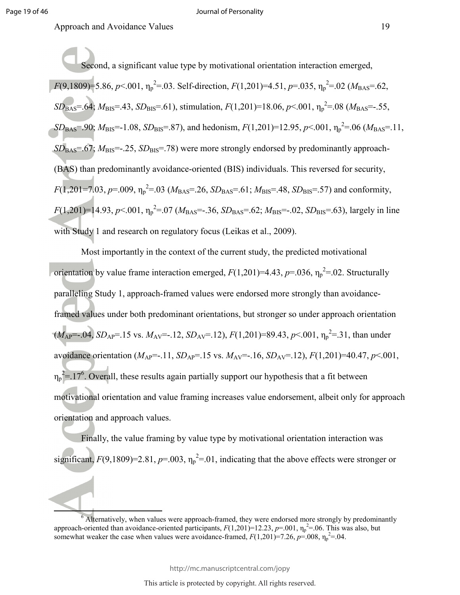$\overline{a}$ 

Approach and Avoidance Values 19

Second, a significant value type by motivational orientation interaction emerged,  $F(9,1809) = 5.86, p < .001, \eta_p^2 = .03$ . Self-direction,  $F(1,201) = 4.51, p = .035, \eta_p^2 = .02$  ( $M_{\text{BAS}} = .62$ ,  $SD_{\text{BAS}} = .64$ ;  $M_{\text{BIS}} = .43$ ,  $SD_{\text{BIS}} = .61$ ), stimulation,  $F(1,201) = 18.06$ ,  $p < .001$ ,  $\eta_p^2 = .08$  ( $M_{\text{BAS}} = .55$ ,  $SD_{\text{BAS}} = .90$ ;  $M_{\text{BIS}} = -1.08$ ,  $SD_{\text{BIS}} = .87$ ), and hedonism,  $F(1,201) = 12.95$ ,  $p < .001$ ,  $\eta_p^2 = .06$  ( $M_{\text{BAS}} = .11$ , *SD*<sub>BAS</sub>=.67; *M*<sub>BIS</sub>=-.25, *SD*<sub>BIS</sub>=.78) were more strongly endorsed by predominantly approach-(BAS) than predominantly avoidance-oriented (BIS) individuals. This reversed for security,  $F(1,201=7.03, p=.009, \eta_p^2=.03$  ( $M_{\text{BAS}}=.26, SD_{\text{BAS}}=.61; M_{\text{BIS}}=.48, SD_{\text{BIS}}=.57$ ) and conformity,  $F(1,201)$ =14.93, *p*<.001,  $\eta_p^2$ =.07 ( $M_{\text{BAS}}$ =-.36,  $SD_{\text{BAS}}$ =.62;  $M_{\text{BIS}}$ =-.02,  $SD_{\text{BIS}}$ =.63), largely in line with Study 1 and research on regulatory focus (Leikas et al., 2009).

Most importantly in the context of the current study, the predicted motivational orientation by value frame interaction emerged,  $F(1,201)=4.43$ ,  $p=0.036$ ,  $\eta_p^2=0.02$ . Structurally paralleling Study 1, approach-framed values were endorsed more strongly than avoidanceframed values under both predominant orientations, but stronger so under approach orientation  $(M_{AP}=-.04, SD_{AP}=.15$  vs.  $M_{AV}=-.12, SD_{AV}=.12), F(1,201)=89.43, p<.001, \eta_p^2=.31$ , than under avoidance orientation  $(M_{AP}=-.11, SD_{AP}=.15$  vs.  $M_{AV}=-.16, SD_{AV}=.12), F(1,201)=40.47, p<.001,$  $\eta_p^2 = 17^6$ . Overall, these results again partially support our hypothesis that a fit between motivational orientation and value framing increases value endorsement, albeit only for approach orientation and approach values.

Finally, the value framing by value type by motivational orientation interaction was significant,  $F(9,1809)=2.81$ ,  $p=.003$ ,  $\eta_p^2=.01$ , indicating that the above effects were stronger or

http://mc.manuscriptcentral.com/jopy

 $6$  Alternatively, when values were approach-framed, they were endorsed more strongly by predominantly approach-oriented than avoidance-oriented participants,  $F(1,201)=12.23$ ,  $p=.001$ ,  $\eta_p^2=.06$ . This was also, but somewhat weaker the case when values were avoidance-framed,  $F(1,201) = 7.26$ ,  $p = 0.008$ ,  $\eta_p^2 = 0.04$ .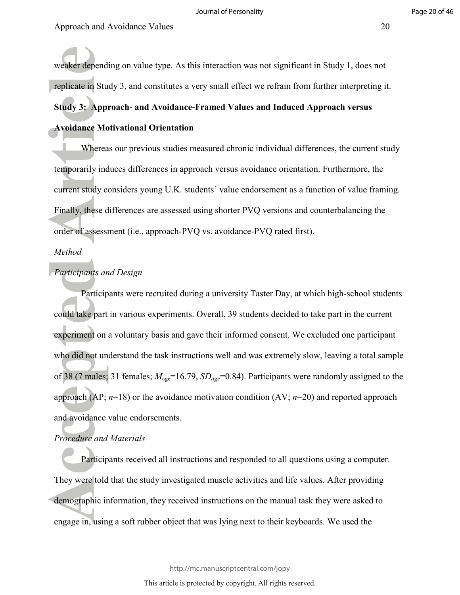weaker depending on value type. As this interaction was not significant in Study 1, does not replicate in Study 3, and constitutes a very small effect we refrain from further interpreting it. **Study 3: Approach- and Avoidance-Framed Values and Induced Approach versus Avoidance Motivational Orientation** 

Whereas our previous studies measured chronic individual differences, the current study temporarily induces differences in approach versus avoidance orientation. Furthermore, the current study considers young U.K. students' value endorsement as a function of value framing. Finally, these differences are assessed using shorter PVQ versions and counterbalancing the order of assessment (i.e., approach-PVQ vs. avoidance-PVQ rated first).

#### *Method*

#### *Participants and Design*

Participants were recruited during a university Taster Day, at which high-school students could take part in various experiments. Overall, 39 students decided to take part in the current experiment on a voluntary basis and gave their informed consent. We excluded one participant who did not understand the task instructions well and was extremely slow, leaving a total sample of 38 (7 males; 31 females; *M*age=16.79, *SDage*=0.84). Participants were randomly assigned to the approach (AP; *n*=18) or the avoidance motivation condition (AV; *n*=20) and reported approach and avoidance value endorsements.

#### *Procedure and Materials*

Participants received all instructions and responded to all questions using a computer. They were told that the study investigated muscle activities and life values. After providing demographic information, they received instructions on the manual task they were asked to engage in, using a soft rubber object that was lying next to their keyboards. We used the

http://mc.manuscriptcentral.com/jopy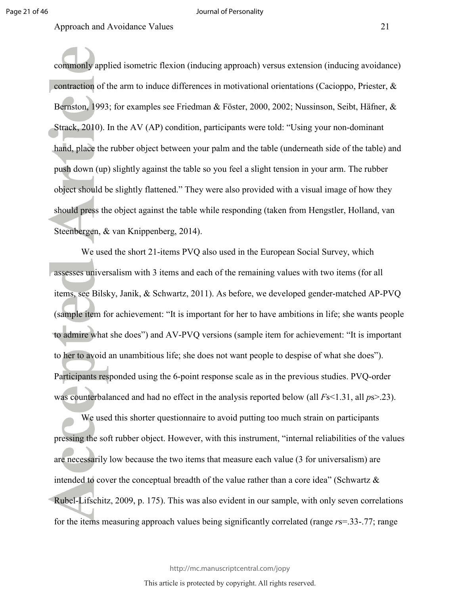Approach and Avoidance Values 21 and 2012 12:00 and 21 and 22 and 22 and 22 and 22 and 22 and 22 and 22 and 22 and 22 and 22 and 22 and 22 and 22 and 22 and 22 and 22 and 22 and 22 and 22 and 22 and 22 and 22 and 22 and 22

commonly applied isometric flexion (inducing approach) versus extension (inducing avoidance) contraction of the arm to induce differences in motivational orientations (Cacioppo, Priester, & Bernston, 1993; for examples see Friedman & Föster, 2000, 2002; Nussinson, Seibt, Häfner, & Strack, 2010). In the AV (AP) condition, participants were told: "Using your non-dominant hand, place the rubber object between your palm and the table (underneath side of the table) and push down (up) slightly against the table so you feel a slight tension in your arm. The rubber object should be slightly flattened." They were also provided with a visual image of how they should press the object against the table while responding (taken from Hengstler, Holland, van Steenbergen, & van Knippenberg, 2014).

We used the short 21-items PVQ also used in the European Social Survey, which assesses universalism with 3 items and each of the remaining values with two items (for all items, see Bilsky, Janik, & Schwartz, 2011). As before, we developed gender-matched AP-PVQ (sample item for achievement: "It is important for her to have ambitions in life; she wants people to admire what she does") and AV-PVQ versions (sample item for achievement: "It is important to her to avoid an unambitious life; she does not want people to despise of what she does"). Participants responded using the 6-point response scale as in the previous studies. PVQ-order was counterbalanced and had no effect in the analysis reported below (all *Fs*<1.31, all *ps*>.23).

 We used this shorter questionnaire to avoid putting too much strain on participants pressing the soft rubber object. However, with this instrument, "internal reliabilities of the values are necessarily low because the two items that measure each value (3 for universalism) are intended to cover the conceptual breadth of the value rather than a core idea" (Schwartz & Rubel-Lifschitz, 2009, p. 175). This was also evident in our sample, with only seven correlations for the items measuring approach values being significantly correlated (range *r*s=.33-.77; range

http://mc.manuscriptcentral.com/jopy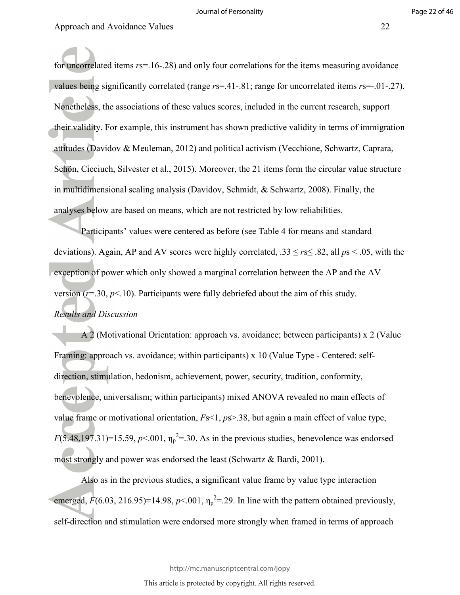for uncorrelated items  $rs = 16 - 28$ ) and only four correlations for the items measuring avoidance values being significantly correlated (range *r*s=.41-.81; range for uncorrelated items *r*s=-.01-.27). Nonetheless, the associations of these values scores, included in the current research, support their validity. For example, this instrument has shown predictive validity in terms of immigration attitudes (Davidov & Meuleman, 2012) and political activism (Vecchione, Schwartz, Caprara, Schön, Cieciuch, Silvester et al., 2015). Moreover, the 21 items form the circular value structure in multidimensional scaling analysis (Davidov, Schmidt, & Schwartz, 2008). Finally, the analyses below are based on means, which are not restricted by low reliabilities.

 Participants' values were centered as before (see Table 4 for means and standard deviations). Again, AP and AV scores were highly correlated, .33 ≤ *r*s≤ .82, all *p*s < .05, with the exception of power which only showed a marginal correlation between the AP and the AV version  $(r=0.30, p<0.10)$ . Participants were fully debriefed about the aim of this study. *Results and Discussion* 

A 2 (Motivational Orientation: approach vs. avoidance; between participants) x 2 (Value Framing: approach vs. avoidance; within participants) x 10 (Value Type - Centered: selfdirection, stimulation, hedonism, achievement, power, security, tradition, conformity, benevolence, universalism; within participants) mixed ANOVA revealed no main effects of value frame or motivational orientation, *F*s<1, *p*s>.38, but again a main effect of value type,  $F(5.48,197.31)=15.59, p<.001, \eta_p^2=30$ . As in the previous studies, benevolence was endorsed most strongly and power was endorsed the least (Schwartz & Bardi, 2001).

Also as in the previous studies, a significant value frame by value type interaction emerged,  $\vec{F}(6.03, 216.95) = 14.98$ ,  $p < .001$ ,  $\eta_p^2 = .29$ . In line with the pattern obtained previously, self-direction and stimulation were endorsed more strongly when framed in terms of approach

http://mc.manuscriptcentral.com/jopy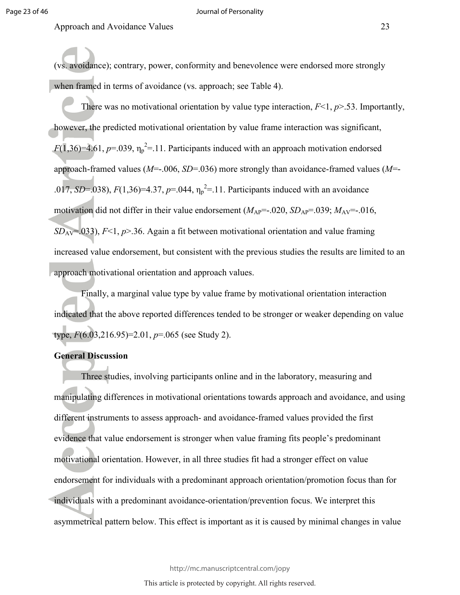#### Journal of Personality

Approach and Avoidance Values 23

(vs. avoidance); contrary, power, conformity and benevolence were endorsed more strongly when framed in terms of avoidance (vs. approach; see Table 4).

There was no motivational orientation by value type interaction, *F*<1, *p*>.53. Importantly, however, the predicted motivational orientation by value frame interaction was significant,  $F(1,36)=4.61, p=.039, \eta_p^2=.11$ . Participants induced with an approach motivation endorsed approach-framed values (*M*=-.006, *SD*=.036) more strongly than avoidance-framed values (*M*=- .017, *SD*=.038),  $F(1,36) = 4.37$ ,  $p = .044$ ,  $\eta_p^2 = .11$ . Participants induced with an avoidance motivation did not differ in their value endorsement  $(M_{AP}=-.020, SD_{AP}=-.039; M_{AY}=-.016,$ *SD*AV=.033), *F*<1, *p*>.36. Again a fit between motivational orientation and value framing increased value endorsement, but consistent with the previous studies the results are limited to an approach motivational orientation and approach values.

Finally, a marginal value type by value frame by motivational orientation interaction indicated that the above reported differences tended to be stronger or weaker depending on value type, *F*(6.03,216.95)=2.01, *p*=.065 (see Study 2).

#### **General Discussion**

Three studies, involving participants online and in the laboratory, measuring and manipulating differences in motivational orientations towards approach and avoidance, and using different instruments to assess approach- and avoidance-framed values provided the first evidence that value endorsement is stronger when value framing fits people's predominant motivational orientation. However, in all three studies fit had a stronger effect on value endorsement for individuals with a predominant approach orientation/promotion focus than for individuals with a predominant avoidance-orientation/prevention focus. We interpret this asymmetrical pattern below. This effect is important as it is caused by minimal changes in value

http://mc.manuscriptcentral.com/jopy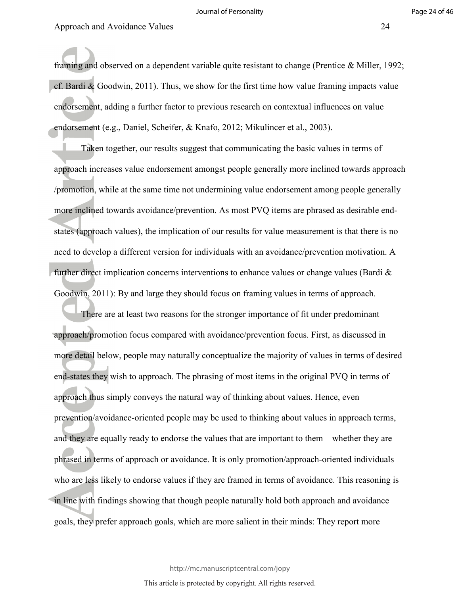framing and observed on a dependent variable quite resistant to change (Prentice & Miller, 1992; cf. Bardi & Goodwin, 2011). Thus, we show for the first time how value framing impacts value endorsement, adding a further factor to previous research on contextual influences on value endorsement (e.g., Daniel, Scheifer, & Knafo, 2012; Mikulincer et al., 2003).

Taken together, our results suggest that communicating the basic values in terms of approach increases value endorsement amongst people generally more inclined towards approach /promotion, while at the same time not undermining value endorsement among people generally more inclined towards avoidance/prevention. As most PVQ items are phrased as desirable endstates (approach values), the implication of our results for value measurement is that there is no need to develop a different version for individuals with an avoidance/prevention motivation. A further direct implication concerns interventions to enhance values or change values (Bardi  $\&$ Goodwin, 2011): By and large they should focus on framing values in terms of approach.

There are at least two reasons for the stronger importance of fit under predominant approach/promotion focus compared with avoidance/prevention focus. First, as discussed in more detail below, people may naturally conceptualize the majority of values in terms of desired end-states they wish to approach. The phrasing of most items in the original PVQ in terms of approach thus simply conveys the natural way of thinking about values. Hence, even prevention/avoidance-oriented people may be used to thinking about values in approach terms, and they are equally ready to endorse the values that are important to them – whether they are phrased in terms of approach or avoidance. It is only promotion/approach-oriented individuals who are less likely to endorse values if they are framed in terms of avoidance. This reasoning is in line with findings showing that though people naturally hold both approach and avoidance goals, they prefer approach goals, which are more salient in their minds: They report more

http://mc.manuscriptcentral.com/jopy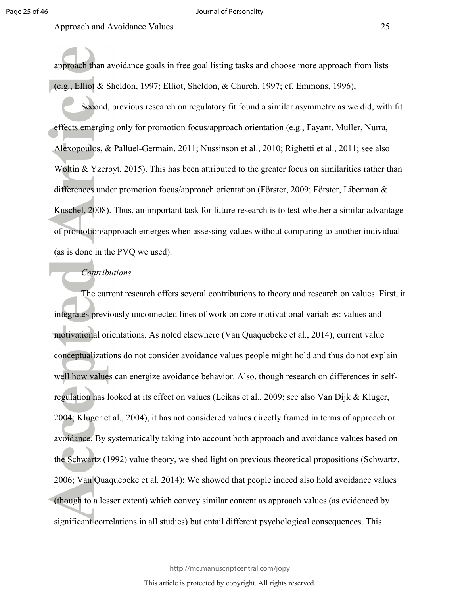approach than avoidance goals in free goal listing tasks and choose more approach from lists (e.g., Elliot & Sheldon, 1997; Elliot, Sheldon, & Church, 1997; cf. Emmons, 1996),

Second, previous research on regulatory fit found a similar asymmetry as we did, with fit effects emerging only for promotion focus/approach orientation (e.g., Fayant, Muller, Nurra, Alexopoulos, & Palluel-Germain, 2011; Nussinson et al., 2010; Righetti et al., 2011; see also Woltin & Yzerbyt, 2015). This has been attributed to the greater focus on similarities rather than differences under promotion focus/approach orientation (Förster, 2009; Förster, Liberman & Kuschel, 2008). Thus, an important task for future research is to test whether a similar advantage of promotion/approach emerges when assessing values without comparing to another individual (as is done in the PVQ we used).

#### *Contributions*

The current research offers several contributions to theory and research on values. First, it integrates previously unconnected lines of work on core motivational variables: values and motivational orientations. As noted elsewhere (Van Quaquebeke et al., 2014), current value conceptualizations do not consider avoidance values people might hold and thus do not explain well how values can energize avoidance behavior. Also, though research on differences in selfregulation has looked at its effect on values (Leikas et al., 2009; see also Van Dijk & Kluger, 2004; Kluger et al., 2004), it has not considered values directly framed in terms of approach or avoidance. By systematically taking into account both approach and avoidance values based on the Schwartz (1992) value theory, we shed light on previous theoretical propositions (Schwartz, 2006; Van Quaquebeke et al. 2014): We showed that people indeed also hold avoidance values (though to a lesser extent) which convey similar content as approach values (as evidenced by significant correlations in all studies) but entail different psychological consequences. This

http://mc.manuscriptcentral.com/jopy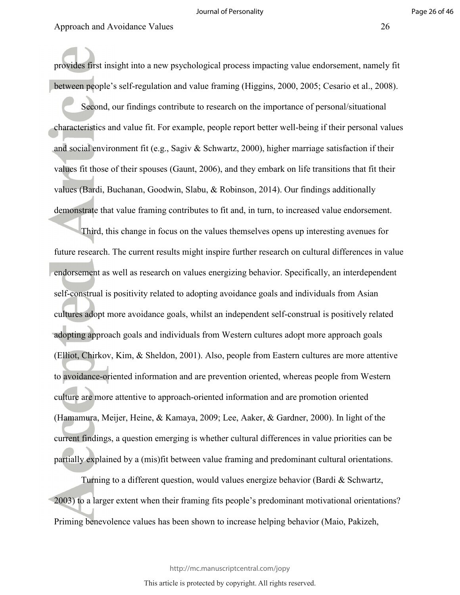provides first insight into a new psychological process impacting value endorsement, namely fit between people's self-regulation and value framing (Higgins, 2000, 2005; Cesario et al., 2008).

Second, our findings contribute to research on the importance of personal/situational characteristics and value fit. For example, people report better well-being if their personal values and social environment fit (e.g., Sagiv & Schwartz, 2000), higher marriage satisfaction if their values fit those of their spouses (Gaunt, 2006), and they embark on life transitions that fit their values (Bardi, Buchanan, Goodwin, Slabu, & Robinson, 2014). Our findings additionally demonstrate that value framing contributes to fit and, in turn, to increased value endorsement.

Third, this change in focus on the values themselves opens up interesting avenues for future research. The current results might inspire further research on cultural differences in value endorsement as well as research on values energizing behavior. Specifically, an interdependent self-construal is positivity related to adopting avoidance goals and individuals from Asian cultures adopt more avoidance goals, whilst an independent self-construal is positively related adopting approach goals and individuals from Western cultures adopt more approach goals (Elliot, Chirkov, Kim, & Sheldon, 2001). Also, people from Eastern cultures are more attentive to avoidance-oriented information and are prevention oriented, whereas people from Western culture are more attentive to approach-oriented information and are promotion oriented (Hamamura, Meijer, Heine, & Kamaya, 2009; Lee, Aaker, & Gardner, 2000). In light of the current findings, a question emerging is whether cultural differences in value priorities can be partially explained by a (mis)fit between value framing and predominant cultural orientations.

Turning to a different question, would values energize behavior (Bardi & Schwartz, 2003) to a larger extent when their framing fits people's predominant motivational orientations? Priming benevolence values has been shown to increase helping behavior (Maio, Pakizeh,

http://mc.manuscriptcentral.com/jopy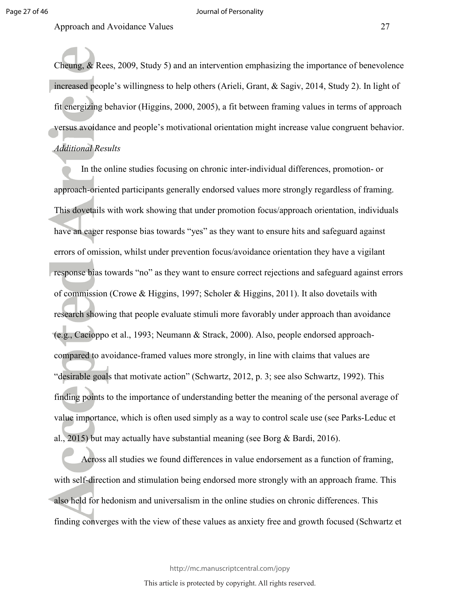#### Journal of Personality

Approach and Avoidance Values 27

Cheung, & Rees, 2009, Study 5) and an intervention emphasizing the importance of benevolence increased people's willingness to help others (Arieli, Grant, & Sagiv, 2014, Study 2). In light of fit energizing behavior (Higgins, 2000, 2005), a fit between framing values in terms of approach versus avoidance and people's motivational orientation might increase value congruent behavior. *Additional Results* 

In the online studies focusing on chronic inter-individual differences, promotion- or approach-oriented participants generally endorsed values more strongly regardless of framing. This dovetails with work showing that under promotion focus/approach orientation, individuals have an eager response bias towards "yes" as they want to ensure hits and safeguard against errors of omission, whilst under prevention focus/avoidance orientation they have a vigilant response bias towards "no" as they want to ensure correct rejections and safeguard against errors of commission (Crowe & Higgins, 1997; Scholer & Higgins, 2011). It also dovetails with research showing that people evaluate stimuli more favorably under approach than avoidance (e.g., Cacioppo et al., 1993; Neumann & Strack, 2000). Also, people endorsed approachcompared to avoidance-framed values more strongly, in line with claims that values are "desirable goals that motivate action" (Schwartz, 2012, p. 3; see also Schwartz, 1992). This finding points to the importance of understanding better the meaning of the personal average of value importance, which is often used simply as a way to control scale use (see Parks-Leduc et al., 2015) but may actually have substantial meaning (see Borg & Bardi, 2016).

Across all studies we found differences in value endorsement as a function of framing, with self-direction and stimulation being endorsed more strongly with an approach frame. This also held for hedonism and universalism in the online studies on chronic differences. This finding converges with the view of these values as anxiety free and growth focused (Schwartz et

http://mc.manuscriptcentral.com/jopy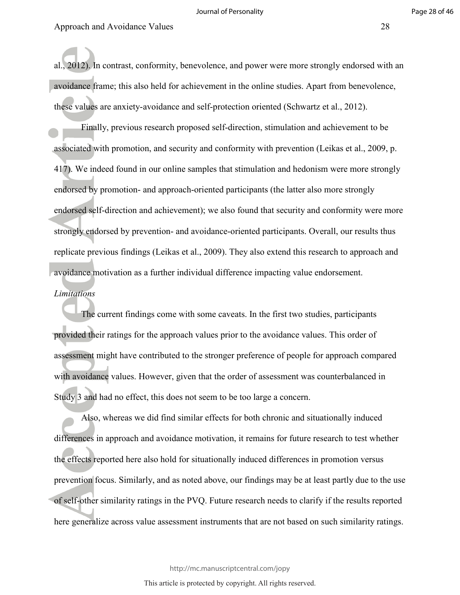al., 2012). In contrast, conformity, benevolence, and power were more strongly endorsed with an avoidance frame; this also held for achievement in the online studies. Apart from benevolence, these values are anxiety-avoidance and self-protection oriented (Schwartz et al., 2012).

Finally, previous research proposed self-direction, stimulation and achievement to be associated with promotion, and security and conformity with prevention (Leikas et al., 2009, p. 417). We indeed found in our online samples that stimulation and hedonism were more strongly endorsed by promotion- and approach-oriented participants (the latter also more strongly endorsed self-direction and achievement); we also found that security and conformity were more strongly endorsed by prevention- and avoidance-oriented participants. Overall, our results thus replicate previous findings (Leikas et al., 2009). They also extend this research to approach and avoidance motivation as a further individual difference impacting value endorsement.

#### *Limitations*

The current findings come with some caveats. In the first two studies, participants provided their ratings for the approach values prior to the avoidance values. This order of assessment might have contributed to the stronger preference of people for approach compared with avoidance values. However, given that the order of assessment was counterbalanced in Study 3 and had no effect, this does not seem to be too large a concern.

Also, whereas we did find similar effects for both chronic and situationally induced differences in approach and avoidance motivation, it remains for future research to test whether the effects reported here also hold for situationally induced differences in promotion versus prevention focus. Similarly, and as noted above, our findings may be at least partly due to the use of self-other similarity ratings in the PVQ. Future research needs to clarify if the results reported here generalize across value assessment instruments that are not based on such similarity ratings.

http://mc.manuscriptcentral.com/jopy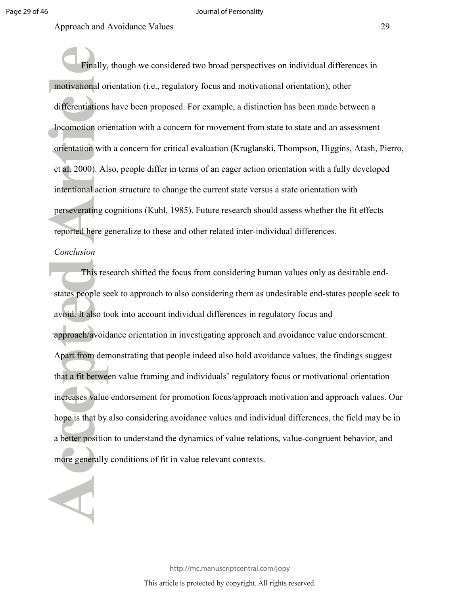Finally, though we considered two broad perspectives on individual differences in motivational orientation (i.e., regulatory focus and motivational orientation), other differentiations have been proposed. For example, a distinction has been made between a locomotion orientation with a concern for movement from state to state and an assessment orientation with a concern for critical evaluation (Kruglanski, Thompson, Higgins, Atash, Pierro, et al. 2000). Also, people differ in terms of an eager action orientation with a fully developed intentional action structure to change the current state versus a state orientation with perseverating cognitions (Kuhl, 1985). Future research should assess whether the fit effects reported here generalize to these and other related inter-individual differences.

#### *Conclusion*

This research shifted the focus from considering human values only as desirable endstates people seek to approach to also considering them as undesirable end-states people seek to avoid. It also took into account individual differences in regulatory focus and approach/avoidance orientation in investigating approach and avoidance value endorsement. Apart from demonstrating that people indeed also hold avoidance values, the findings suggest that a fit between value framing and individuals' regulatory focus or motivational orientation increases value endorsement for promotion focus/approach motivation and approach values. Our hope is that by also considering avoidance values and individual differences, the field may be in a better position to understand the dynamics of value relations, value-congruent behavior, and more generally conditions of fit in value relevant contexts.

> http://mc.manuscriptcentral.com/jopy This article is protected by copyright. All rights reserved.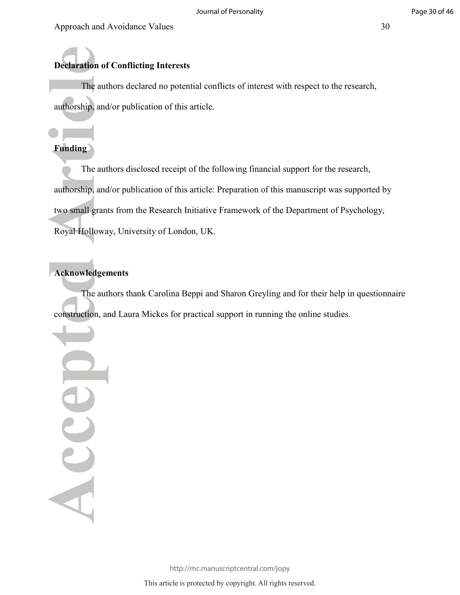# **Declaration of Conflicting Interests**

The authors declared no potential conflicts of interest with respect to the research, authorship, and/or publication of this article.

# **Funding**

The authors disclosed receipt of the following financial support for the research, authorship, and/or publication of this article: Preparation of this manuscript was supported by two small grants from the Research Initiative Framework of the Department of Psychology, Royal Holloway, University of London, UK.

# **Acknowledgements**

The authors thank Carolina Beppi and Sharon Greyling and for their help in questionnaire construction, and Laura Mickes for practical support in running the online studies.

Accel

http://mc.manuscriptcentral.com/jopy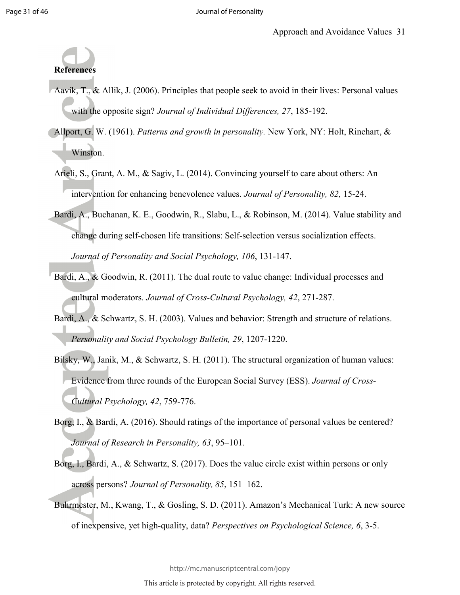# **References**

- Aavik, T., & Allik, J. (2006). Principles that people seek to avoid in their lives: Personal values with the opposite sign? *Journal of Individual Differences, 27*, 185-192.
- Allport, G. W. (1961). *Patterns and growth in personality.* New York, NY: Holt, Rinehart, & Winston.
- Arieli, S., Grant, A. M., & Sagiv, L. (2014). Convincing yourself to care about others: An intervention for enhancing benevolence values. *Journal of Personality, 82,* 15-24.
- Bardi, A., Buchanan, K. E., Goodwin, R., Slabu, L., & Robinson, M. (2014). Value stability and change during self-chosen life transitions: Self-selection versus socialization effects. *Journal of Personality and Social Psychology, 106*, 131-147.
- Bardi, A., & Goodwin, R. (2011). The dual route to value change: Individual processes and cultural moderators. *Journal of Cross-Cultural Psychology, 42*, 271-287.
- Bardi, A., & Schwartz, S. H. (2003). Values and behavior: Strength and structure of relations. *Personality and Social Psychology Bulletin, 29*, 1207-1220.
- Bilsky, W., Janik, M., & Schwartz, S. H. (2011). The structural organization of human values: Evidence from three rounds of the European Social Survey (ESS). *Journal of Cross-Cultural Psychology, 42*, 759-776.
- Borg, I., & Bardi, A. (2016). Should ratings of the importance of personal values be centered? *Journal of Research in Personality, 63*, 95–101.
- Borg, I., Bardi, A., & Schwartz, S. (2017). Does the value circle exist within persons or only across persons? *Journal of Personality, 85*, 151–162.
- Buhrmester, M., Kwang, T., & Gosling, S. D. (2011). Amazon's Mechanical Turk: A new source of inexpensive, yet high-quality, data? *Perspectives on Psychological Science, 6*, 3-5.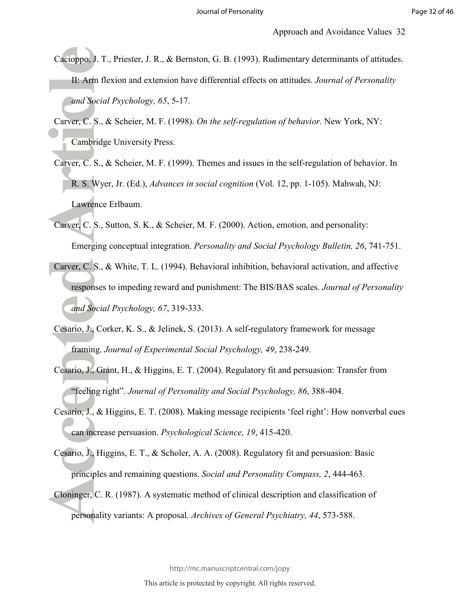- Cacioppo, J. T., Priester, J. R., & Bernston, G. B. (1993). Rudimentary determinants of attitudes. II: Arm flexion and extension have differential effects on attitudes. *Journal of Personality and Social Psychology, 65*, 5-17.
- Carver, C. S., & Scheier, M. F. (1998). *On the self-regulation of behavior.* New York, NY: Cambridge University Press.
- Carver, C. S., & Scheier, M. F. (1999). Themes and issues in the self-regulation of behavior. In R. S. Wyer, Jr. (Ed.), *Advances in social cognition* (Vol. 12, pp. 1-105). Mahwah, NJ: Lawrence Erlbaum.
- Carver, C. S., Sutton, S. K., & Scheier, M. F. (2000). Action, emotion, and personality: Emerging conceptual integration. *Personality and Social Psychology Bulletin, 26*, 741-751.
- Carver, C. S., & White, T. L. (1994). Behavioral inhibition, behavioral activation, and affective responses to impeding reward and punishment: The BIS/BAS scales. *Journal of Personality and Social Psychology, 67*, 319-333.
- Cesario, J., Corker, K. S., & Jelinek, S. (2013). A self-regulatory framework for message framing. *Journal of Experimental Social Psychology, 49*, 238-249.
- Cesario, J., Grant, H., & Higgins, E. T. (2004). Regulatory fit and persuasion: Transfer from "feeling right". *Journal of Personality and Social Psychology, 86*, 388-404.
- Cesario, J., & Higgins, E. T. (2008). Making message recipients 'feel right': How nonverbal cues can increase persuasion. *Psychological Science, 19*, 415-420.
- Cesario, J., Higgins, E. T., & Scholer, A. A. (2008). Regulatory fit and persuasion: Basic principles and remaining questions. *Social and Personality Compass, 2*, 444-463.
- Cloninger, C. R. (1987). A systematic method of clinical description and classification of personality variants: A proposal. *Archives of General Psychiatry, 44*, 573-588.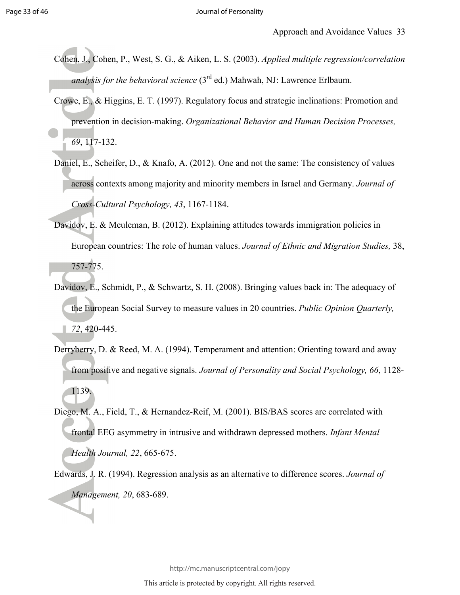- Cohen, J., Cohen, P., West, S. G., & Aiken, L. S. (2003). *Applied multiple regression/correlation analysis for the behavioral science* (3rd ed.) Mahwah, NJ: Lawrence Erlbaum.
- Crowe, E., & Higgins, E. T. (1997). Regulatory focus and strategic inclinations: Promotion and prevention in decision-making. *Organizational Behavior and Human Decision Processes, 69*, 117-132.
- Daniel, E., Scheifer, D., & Knafo, A. (2012). One and not the same: The consistency of values across contexts among majority and minority members in Israel and Germany. *Journal of Cross-Cultural Psychology, 43*, 1167-1184.
- Davidov, E. & Meuleman, B. (2012). Explaining attitudes towards immigration policies in European countries: The role of human values. *Journal of Ethnic and Migration Studies,* 38, 757-775.
- Davidov, E., Schmidt, P., & Schwartz, S. H. (2008). Bringing values back in: The adequacy of the European Social Survey to measure values in 20 countries. *Public Opinion Quarterly, 72*, 420-445.
- Derryberry, D. & Reed, M. A. (1994). Temperament and attention: Orienting toward and away from positive and negative signals. *Journal of Personality and Social Psychology, 66*, 1128- 1139.
- Diego, M. A., Field, T., & Hernandez-Reif, M. (2001). BIS/BAS scores are correlated with frontal EEG asymmetry in intrusive and withdrawn depressed mothers. *Infant Mental Health Journal, 22*, 665-675.
- Edwards, J. R. (1994). Regression analysis as an alternative to difference scores. *Journal of Management, 20*, 683-689.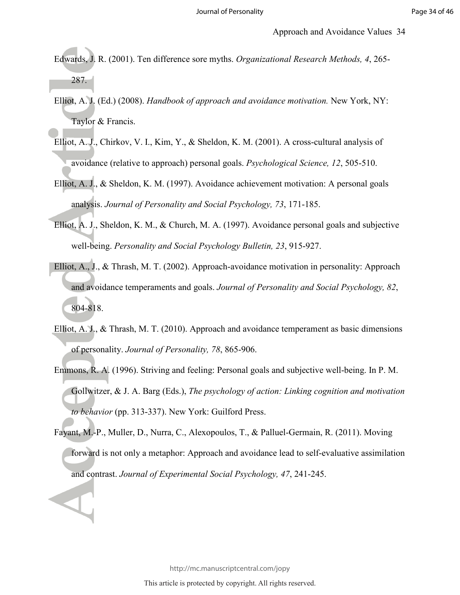- Edwards, J. R. (2001). Ten difference sore myths. *Organizational Research Methods, 4*, 265- 287.
- Elliot, A. J. (Ed.) (2008). *Handbook of approach and avoidance motivation.* New York, NY: Taylor & Francis.
- Elliot, A. J., Chirkov, V. I., Kim, Y., & Sheldon, K. M. (2001). A cross-cultural analysis of avoidance (relative to approach) personal goals. *Psychological Science, 12*, 505-510.
- Elliot, A. J., & Sheldon, K. M. (1997). Avoidance achievement motivation: A personal goals analysis. *Journal of Personality and Social Psychology, 73*, 171-185.
- Elliot, A. J., Sheldon, K. M., & Church, M. A. (1997). Avoidance personal goals and subjective well-being. *Personality and Social Psychology Bulletin, 23*, 915-927.
- Elliot, A., J., & Thrash, M. T. (2002). Approach-avoidance motivation in personality: Approach and avoidance temperaments and goals. *Journal of Personality and Social Psychology, 82*, 804-818.
- Elliot, A. J., & Thrash, M. T. (2010). Approach and avoidance temperament as basic dimensions of personality. *Journal of Personality, 78*, 865-906.
- Emmons, R. A. (1996). Striving and feeling: Personal goals and subjective well-being. In P. M. Gollwitzer, & J. A. Barg (Eds.), *The psychology of action: Linking cognition and motivation to behavior* (pp. 313-337). New York: Guilford Press.
- Fayant, M.-P., Muller, D., Nurra, C., Alexopoulos, T., & Palluel-Germain, R. (2011). Moving forward is not only a metaphor: Approach and avoidance lead to self-evaluative assimilation and contrast. *Journal of Experimental Social Psychology, 47*, 241-245.

http://mc.manuscriptcentral.com/jopy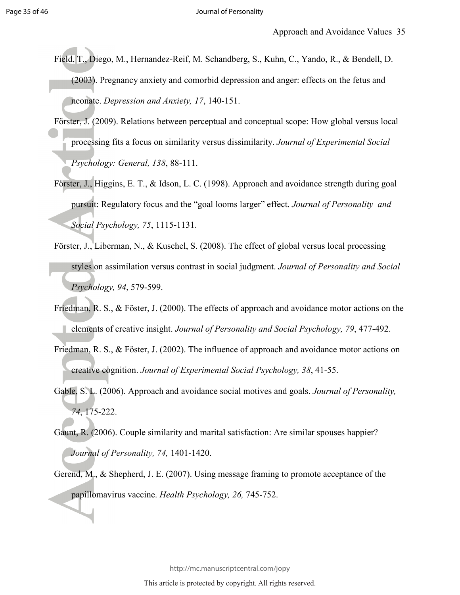- Field, T., Diego, M., Hernandez-Reif, M. Schandberg, S., Kuhn, C., Yando, R., & Bendell, D. (2003). Pregnancy anxiety and comorbid depression and anger: effects on the fetus and neonate. *Depression and Anxiety, 17*, 140-151.
- Förster, J. (2009). Relations between perceptual and conceptual scope: How global versus local processing fits a focus on similarity versus dissimilarity. *Journal of Experimental Social Psychology: General, 138*, 88-111.
- Förster, J., Higgins, E. T., & Idson, L. C. (1998). Approach and avoidance strength during goal pursuit: Regulatory focus and the "goal looms larger" effect. *Journal of Personality and Social Psychology, 75*, 1115-1131.
- Förster, J., Liberman, N., & Kuschel, S. (2008). The effect of global versus local processing styles on assimilation versus contrast in social judgment. *Journal of Personality and Social Psychology, 94*, 579-599.
- Friedman, R. S., & Föster, J. (2000). The effects of approach and avoidance motor actions on the elements of creative insight. *Journal of Personality and Social Psychology, 79*, 477-492.
- Friedman, R. S., & Föster, J. (2002). The influence of approach and avoidance motor actions on creative cognition. *Journal of Experimental Social Psychology, 38*, 41-55.
- Gable, S. L. (2006). Approach and avoidance social motives and goals. *Journal of Personality, 74*, 175-222.
- Gaunt, R. (2006). Couple similarity and marital satisfaction: Are similar spouses happier? *Journal of Personality, 74,* 1401-1420.
- Gerend, M., & Shepherd, J. E. (2007). Using message framing to promote acceptance of the papillomavirus vaccine. *Health Psychology, 26,* 745-752.

http://mc.manuscriptcentral.com/jopy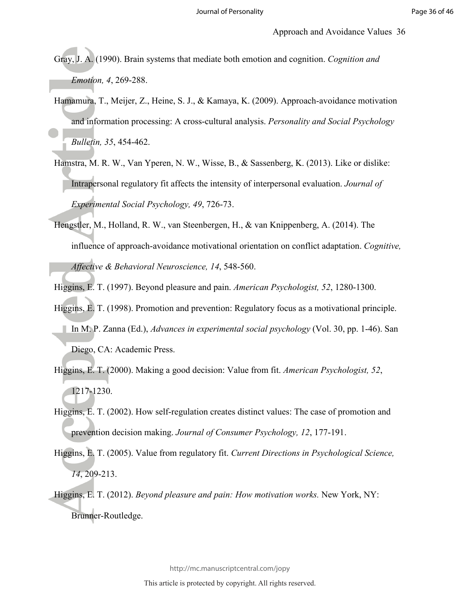Gray, J. A. (1990). Brain systems that mediate both emotion and cognition. *Cognition and Emotion, 4*, 269-288.

- Hamamura, T., Meijer, Z., Heine, S. J., & Kamaya, K. (2009). Approach-avoidance motivation and information processing: A cross-cultural analysis. *Personality and Social Psychology Bulletin, 35*, 454-462.
- Hamstra, M. R. W., Van Yperen, N. W., Wisse, B., & Sassenberg, K. (2013). Like or dislike: Intrapersonal regulatory fit affects the intensity of interpersonal evaluation. *Journal of Experimental Social Psychology, 49*, 726-73.
- Hengstler, M., Holland, R. W., van Steenbergen, H., & van Knippenberg, A. (2014). The influence of approach-avoidance motivational orientation on conflict adaptation. *Cognitive, Affective & Behavioral Neuroscience, 14*, 548-560.
- Higgins, E. T. (1997). Beyond pleasure and pain. *American Psychologist, 52*, 1280-1300.
- Higgins, E. T. (1998). Promotion and prevention: Regulatory focus as a motivational principle. In M. P. Zanna (Ed.), *Advances in experimental social psychology* (Vol. 30, pp. 1-46). San Diego, CA: Academic Press.
- Higgins, E. T. (2000). Making a good decision: Value from fit. *American Psychologist, 52*, 1217-1230.
- Higgins, E. T. (2002). How self-regulation creates distinct values: The case of promotion and prevention decision making. *Journal of Consumer Psychology, 12*, 177-191.
- Higgins, E. T. (2005). Value from regulatory fit. *Current Directions in Psychological Science, 14*, 209-213.
- Higgins, E. T. (2012). *Beyond pleasure and pain: How motivation works.* New York, NY: Brunner-Routledge.

http://mc.manuscriptcentral.com/jopy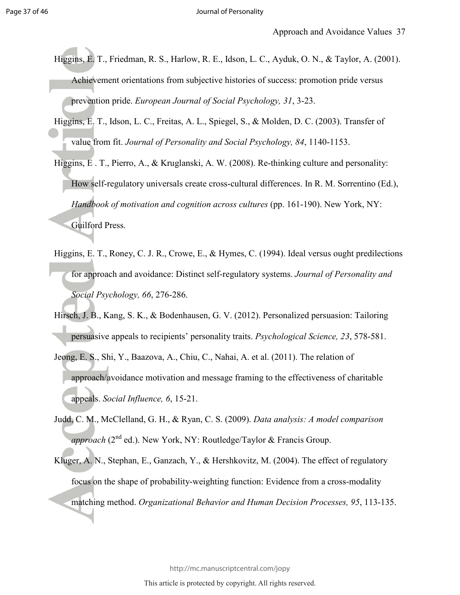- Higgins, E. T., Friedman, R. S., Harlow, R. E., Idson, L. C., Ayduk, O. N., & Taylor, A. (2001). Achievement orientations from subjective histories of success: promotion pride versus prevention pride. *European Journal of Social Psychology, 31*, 3-23.
- Higgins, E. T., Idson, L. C., Freitas, A. L., Spiegel, S., & Molden, D. C. (2003). Transfer of value from fit. *Journal of Personality and Social Psychology, 84*, 1140-1153.
- Higgins, E . T., Pierro, A., & Kruglanski, A. W. (2008). Re-thinking culture and personality: How self-regulatory universals create cross-cultural differences. In R. M. Sorrentino (Ed.), *Handbook of motivation and cognition across cultures* (pp. 161-190). New York, NY: Guilford Press.
- Higgins, E. T., Roney, C. J. R., Crowe, E., & Hymes, C. (1994). Ideal versus ought predilections for approach and avoidance: Distinct self-regulatory systems. *Journal of Personality and Social Psychology, 66*, 276-286.
- Hirsch, J. B., Kang, S. K., & Bodenhausen, G. V. (2012). Personalized persuasion: Tailoring persuasive appeals to recipients' personality traits. *Psychological Science, 23*, 578-581.
- Jeong, E. S., Shi, Y., Baazova, A., Chiu, C., Nahai, A. et al. (2011). The relation of approach/avoidance motivation and message framing to the effectiveness of charitable appeals. *Social Influence, 6*, 15-21.
- Judd, C. M., McClelland, G. H., & Ryan, C. S. (2009). *Data analysis: A model comparison approach* (2<sup>nd</sup> ed.). New York, NY: Routledge/Taylor & Francis Group.
- Kluger, A. N., Stephan, E., Ganzach, Y., & Hershkovitz, M. (2004). The effect of regulatory focus on the shape of probability-weighting function: Evidence from a cross-modality matching method. *Organizational Behavior and Human Decision Processes, 95*, 113-135.

http://mc.manuscriptcentral.com/jopy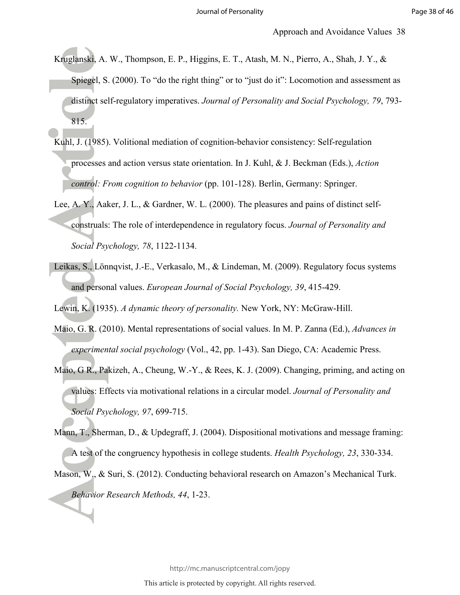- Kruglanski, A. W., Thompson, E. P., Higgins, E. T., Atash, M. N., Pierro, A., Shah, J. Y., & Spiegel, S. (2000). To "do the right thing" or to "just do it": Locomotion and assessment as distinct self-regulatory imperatives. *Journal of Personality and Social Psychology, 79*, 793- 815.
- Kuhl, J. (1985). Volitional mediation of cognition-behavior consistency: Self-regulation processes and action versus state orientation. In J. Kuhl, & J. Beckman (Eds.), *Action control: From cognition to behavior* (pp. 101-128). Berlin, Germany: Springer.
- Lee, A. Y., Aaker, J. L., & Gardner, W. L. (2000). The pleasures and pains of distinct selfconstruals: The role of interdependence in regulatory focus. *Journal of Personality and Social Psychology, 78*, 1122-1134.
- Leikas, S., Lönnqvist, J.-E., Verkasalo, M., & Lindeman, M. (2009). Regulatory focus systems and personal values. *European Journal of Social Psychology, 39*, 415-429.

Lewin, K. (1935). *A dynamic theory of personality.* New York, NY: McGraw-Hill.

- Maio, G. R. (2010). Mental representations of social values. In M. P. Zanna (Ed.), *Advances in experimental social psychology* (Vol., 42, pp. 1-43). San Diego, CA: Academic Press.
- Maio, G R., Pakizeh, A., Cheung, W.-Y., & Rees, K. J. (2009). Changing, priming, and acting on values: Effects via motivational relations in a circular model. *Journal of Personality and Social Psychology, 97*, 699-715.
- Mann, T., Sherman, D., & Updegraff, J. (2004). Dispositional motivations and message framing: A test of the congruency hypothesis in college students. *Health Psychology, 23*, 330-334.
- Mason, W., & Suri, S. (2012). Conducting behavioral research on Amazon's Mechanical Turk. *Behavior Research Methods, 44*, 1-23.

http://mc.manuscriptcentral.com/jopy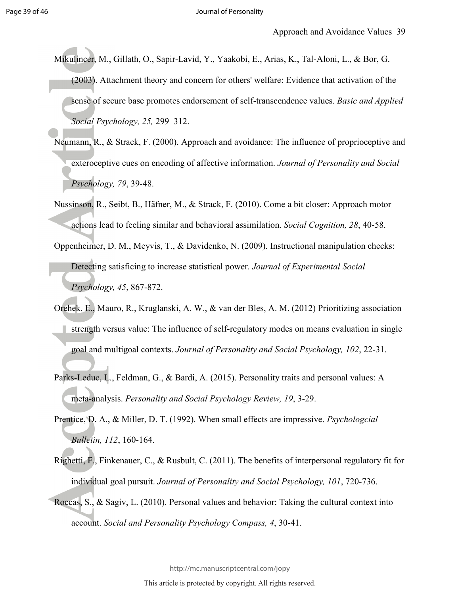- Mikulincer, M., Gillath, O., Sapir-Lavid, Y., Yaakobi, E., Arias, K., Tal-Aloni, L., & Bor, G. (2003). Attachment theory and concern for others' welfare: Evidence that activation of the sense of secure base promotes endorsement of self-transcendence values. *Basic and Applied Social Psychology, 25,* 299–312.
- Neumann, R., & Strack, F. (2000). Approach and avoidance: The influence of proprioceptive and exteroceptive cues on encoding of affective information. *Journal of Personality and Social Psychology, 79*, 39-48.
- Nussinson, R., Seibt, B., Häfner, M., & Strack, F. (2010). Come a bit closer: Approach motor actions lead to feeling similar and behavioral assimilation. *Social Cognition, 28*, 40-58.
- Oppenheimer, D. M., Meyvis, T., & Davidenko, N. (2009). Instructional manipulation checks: Detecting satisficing to increase statistical power. *Journal of Experimental Social Psychology, 45*, 867-872.
- Orehek, E., Mauro, R., Kruglanski, A. W., & van der Bles, A. M. (2012) Prioritizing association strength versus value: The influence of self-regulatory modes on means evaluation in single goal and multigoal contexts. *Journal of Personality and Social Psychology, 102*, 22-31.
- Parks-Leduc, L., Feldman, G., & Bardi, A. (2015). Personality traits and personal values: A meta-analysis. *Personality and Social Psychology Review, 19*, 3-29.
- Prentice, D. A., & Miller, D. T. (1992). When small effects are impressive. *Psychologcial Bulletin, 112*, 160-164.
- Righetti, F., Finkenauer, C., & Rusbult, C. (2011). The benefits of interpersonal regulatory fit for individual goal pursuit. *Journal of Personality and Social Psychology, 101*, 720-736.
- Roccas, S., & Sagiv, L. (2010). Personal values and behavior: Taking the cultural context into account. *Social and Personality Psychology Compass, 4*, 30-41.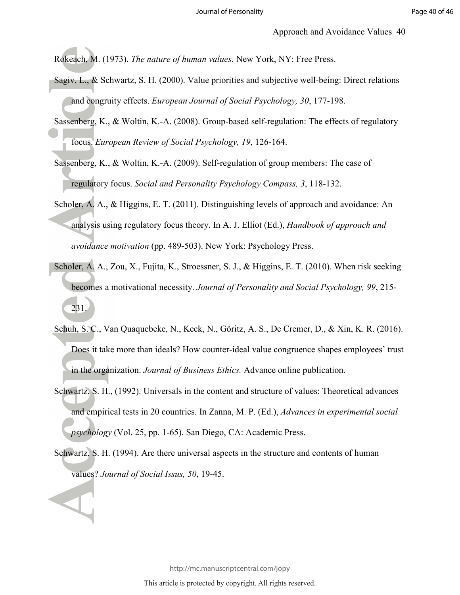Rokeach, M. (1973). *The nature of human values.* New York, NY: Free Press.

- Sagiv, L., & Schwartz, S. H. (2000). Value priorities and subjective well-being: Direct relations and congruity effects. *European Journal of Social Psychology, 30*, 177-198.
- Sassenberg, K., & Woltin, K.-A. (2008). Group-based self-regulation: The effects of regulatory focus. *European Review of Social Psychology, 19*, 126-164.
- Sassenberg, K., & Woltin, K.-A. (2009). Self-regulation of group members: The case of regulatory focus. *Social and Personality Psychology Compass, 3*, 118-132.
- Scholer, A. A., & Higgins, E. T. (2011). Distinguishing levels of approach and avoidance: An analysis using regulatory focus theory. In A. J. Elliot (Ed.), *Handbook of approach and avoidance motivation* (pp. 489-503). New York: Psychology Press.
- Scholer, A. A., Zou, X., Fujita, K., Stroessner, S. J., & Higgins, E. T. (2010). When risk seeking becomes a motivational necessity. *Journal of Personality and Social Psychology, 99*, 215- 231.
- Schuh, S. C., Van Quaquebeke, N., Keck, N., Göritz, A. S., De Cremer, D., & Xin, K. R. (2016). Does it take more than ideals? How counter-ideal value congruence shapes employees' trust in the organization. *Journal of Business Ethics.* Advance online publication.
- Schwartz, S. H., (1992). Universals in the content and structure of values: Theoretical advances and empirical tests in 20 countries. In Zanna, M. P. (Ed.), *Advances in experimental social psychology* (Vol. 25, pp. 1-65). San Diego, CA: Academic Press.
- Schwartz, S. H. (1994). Are there universal aspects in the structure and contents of human values? *Journal of Social Issus, 50*, 19-45.

http://mc.manuscriptcentral.com/jopy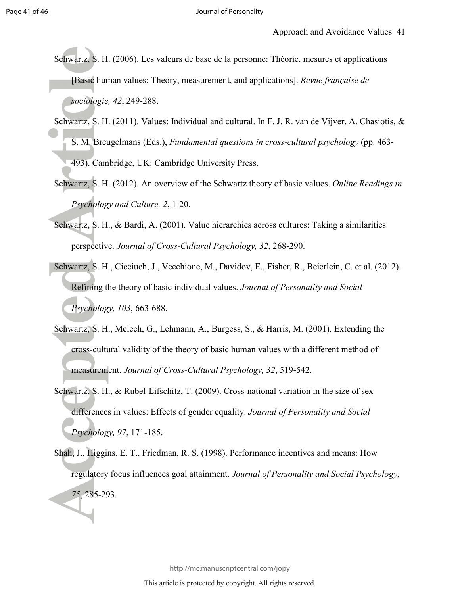- Schwartz, S. H. (2006). Les valeurs de base de la personne: Théorie, mesures et applications [Basic human values: Theory, measurement, and applications]. *Revue française de sociologie, 42*, 249-288.
- Schwartz, S. H. (2011). Values: Individual and cultural. In F. J. R. van de Vijver, A. Chasiotis,  $\&$ S. M. Breugelmans (Eds.), *Fundamental questions in cross-cultural psychology* (pp. 463- 493). Cambridge, UK: Cambridge University Press.
- Schwartz, S. H. (2012). An overview of the Schwartz theory of basic values. *Online Readings in Psychology and Culture, 2*, 1-20.
- Schwartz, S. H., & Bardi, A. (2001). Value hierarchies across cultures: Taking a similarities perspective. *Journal of Cross-Cultural Psychology, 32*, 268-290.
- Schwartz, S. H., Cieciuch, J., Vecchione, M., Davidov, E., Fisher, R., Beierlein, C. et al. (2012). Refining the theory of basic individual values. *Journal of Personality and Social Psychology, 103*, 663-688.
- Schwartz, S. H., Melech, G., Lehmann, A., Burgess, S., & Harris, M. (2001). Extending the cross-cultural validity of the theory of basic human values with a different method of measurement. *Journal of Cross-Cultural Psychology, 32*, 519-542.
- Schwartz, S. H., & Rubel-Lifschitz, T. (2009). Cross-national variation in the size of sex differences in values: Effects of gender equality. *Journal of Personality and Social Psychology, 97*, 171-185.
- Shah, J., Higgins, E. T., Friedman, R. S. (1998). Performance incentives and means: How regulatory focus influences goal attainment. *Journal of Personality and Social Psychology, 75*, 285-293.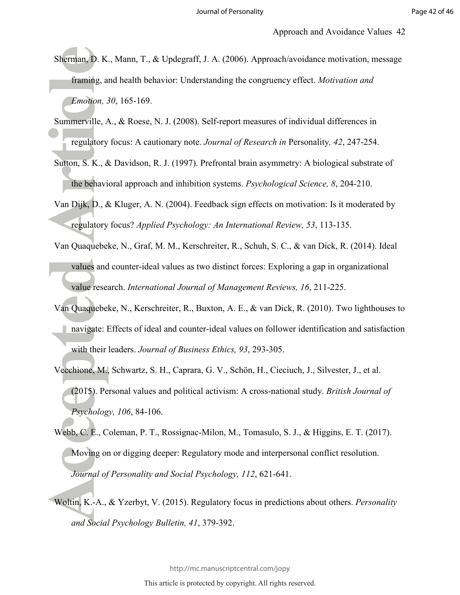- Sherman, D. K., Mann, T., & Updegraff, J. A. (2006). Approach/avoidance motivation, message framing, and health behavior: Understanding the congruency effect. *Motivation and Emotion, 30*, 165-169.
- Summerville, A., & Roese, N. J. (2008). Self-report measures of individual differences in regulatory focus: A cautionary note. *Journal of Research in* Personality*, 42*, 247-254.
- Sutton, S. K., & Davidson, R. J. (1997). Prefrontal brain asymmetry: A biological substrate of the behavioral approach and inhibition systems. *Psychological Science, 8*, 204-210.
- Van Dijk, D., & Kluger, A. N. (2004). Feedback sign effects on motivation: Is it moderated by regulatory focus? *Applied Psychology: An International Review, 53*, 113-135.
- Van Quaquebeke, N., Graf, M. M., Kerschreiter, R., Schuh, S. C., & van Dick, R. (2014). Ideal values and counter-ideal values as two distinct forces: Exploring a gap in organizational value research. *International Journal of Management Reviews, 16*, 211-225.
- Van Quaquebeke, N., Kerschreiter, R., Buxton, A. E., & van Dick, R. (2010). Two lighthouses to navigate: Effects of ideal and counter-ideal values on follower identification and satisfaction with their leaders. *Journal of Business Ethics, 93*, 293-305.
- Vecchione, M., Schwartz, S. H., Caprara, G. V., Schön, H., Cieciuch, J., Silvester, J., et al. (2015). Personal values and political activism: A cross-national study. *British Journal of Psychology, 106*, 84-106.
- Webb, C. E., Coleman, P. T., Rossignac-Milon, M., Tomasulo, S. J., & Higgins, E. T. (2017). Moving on or digging deeper: Regulatory mode and interpersonal conflict resolution. *Journal of Personality and Social Psychology, 112*, 621-641.
- Woltin, K.-A., & Yzerbyt, V. (2015). Regulatory focus in predictions about others. *Personality and Social Psychology Bulletin, 41*, 379-392.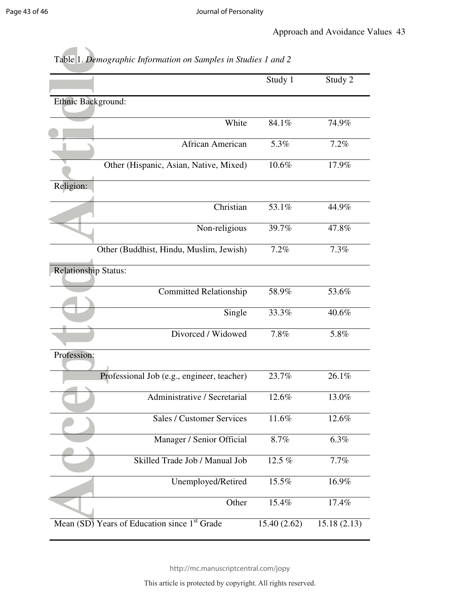|                                                          | Study 1      | Study 2     |
|----------------------------------------------------------|--------------|-------------|
| Ethnic Background:                                       |              |             |
|                                                          |              |             |
| White                                                    | 84.1%        | 74.9%       |
| African American                                         | 5.3%         | 7.2%        |
| Other (Hispanic, Asian, Native, Mixed)                   | 10.6%        | 17.9%       |
| Religion:                                                |              |             |
| Christian                                                | 53.1%        | 44.9%       |
| Non-religious                                            | 39.7%        | 47.8%       |
| Other (Buddhist, Hindu, Muslim, Jewish)                  | 7.2%         | 7.3%        |
| <b>Relationship Status:</b>                              |              |             |
| Committed Relationship                                   | 58.9%        | 53.6%       |
| Single                                                   | 33.3%        | 40.6%       |
| Divorced / Widowed                                       | 7.8%         | 5.8%        |
| Profession:                                              |              |             |
| Professional Job (e.g., engineer, teacher)               | 23.7%        | 26.1%       |
| Administrative / Secretarial                             | 12.6%        | 13.0%       |
| Sales / Customer Services                                | $11.6\%$     | 12.6%       |
| Manager / Senior Official                                | 8.7%         | 6.3%        |
| Skilled Trade Job / Manual Job                           | 12.5 %       | 7.7%        |
| Unemployed/Retired                                       | 15.5%        | 16.9%       |
| Other                                                    | 15.4%        | 17.4%       |
| Mean (SD) Years of Education since 1 <sup>st</sup> Grade | 15.40 (2.62) | 15.18(2.13) |

### Table 1. *Demographic Information on Samples in Studies 1 and 2*

http://mc.manuscriptcentral.com/jopy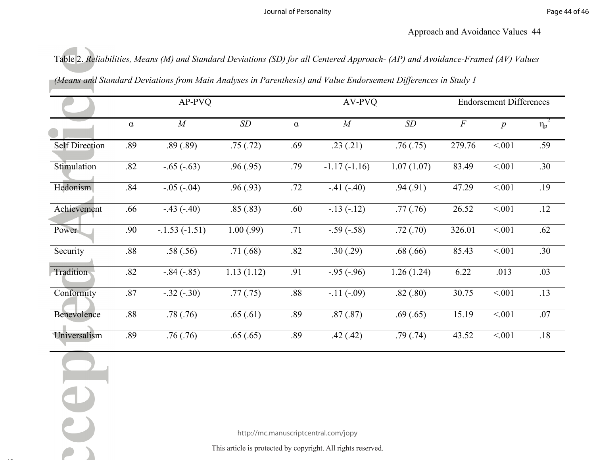Table 2. *Reliabilities, Means (M) and Standard Deviations (SD) for all Centered Approach- (AP) and Avoidance-Framed (AV) Values (Means and Standard Deviations from Main Analyses in Parenthesis) and Value Endorsement Differences in Study 1*

|                       | AP-PVQ   |                |            |          | AV-PVQ                               | <b>Endorsement Differences</b> |          |                    |            |
|-----------------------|----------|----------------|------------|----------|--------------------------------------|--------------------------------|----------|--------------------|------------|
|                       | $\alpha$ | $\cal M$       | SD         | $\alpha$ | M                                    | SD                             | $\cal F$ | $\boldsymbol{p}$   | $\eta_p^2$ |
| <b>Self Direction</b> | .89      | .89(.89)       | .75(.72)   | .69      | .23(.21)                             | .76(.75)                       | 279.76   | < 0.01             | .59        |
| Stimulation           | .82      | $-0.65(-0.63)$ | .96(.95)   | .79      | $-1.17(-1.16)$                       | 1.07(1.07)                     | 83.49    | $\overline{<}001$  | .30        |
| Hedonism              | .84      | $-0.05(-0.04)$ | .96(.93)   | .72      | $-41 (-40)$                          | .94(.91)                       | 47.29    | $\overline{0.001}$ | .19        |
| Achievement           | .66      | $-.43(-.40)$   | .85(.83)   | .60      | $-13(-12)$                           | .77(.76)                       | 26.52    | < 001              | .12        |
| Power                 | .90      | $-1.53(-1.51)$ | 1.00(.99)  | .71      | $-.59(-.58)$                         | .72(.70)                       | 326.01   | < 001              | .62        |
| Security              | .88      | .58(.56)       | .71(0.68)  | .82      | .30(.29)                             | .68(.66)                       | 85.43    | < 001              | .30        |
| Tradition             | .82      | $-.84(-.85)$   | 1.13(1.12) | .91      | $-.95(-.96)$                         | 1.26(1.24)                     | 6.22     | .013               | .03        |
| Conformity            | .87      | $-.32(-.30)$   | .77(.75)   | .88      | $-11(-09)$                           | .82(.80)                       | 30.75    | < 001              | .13        |
| Benevolence           | $.88\,$  | .78(.76)       | .65(.61)   | .89      | .87(.87)                             | .69(.65)                       | 15.19    | < 001              | .07        |
| Universalism          | .89      | .76(.76)       | .65(.65)   | .89      | .42(.42)                             | .79(.74)                       | 43.52    | < 001              | $.18\,$    |
|                       |          |                |            |          |                                      |                                |          |                    |            |
|                       |          |                |            |          |                                      |                                |          |                    |            |
|                       |          |                |            |          |                                      |                                |          |                    |            |
|                       |          |                |            |          | http://mc.manuscriptcentral.com/jopy |                                |          |                    |            |
|                       |          |                |            |          |                                      |                                |          |                    |            |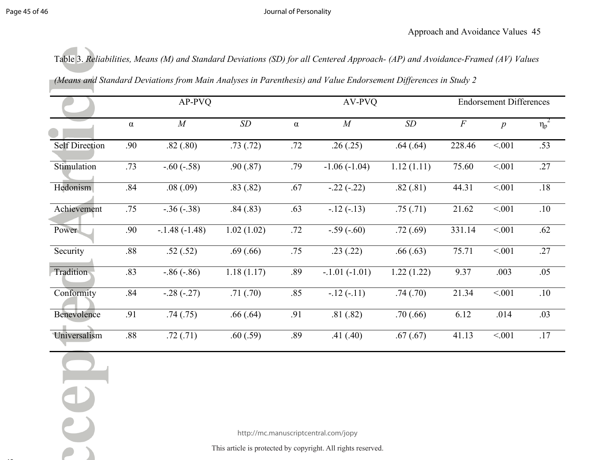#### Journal of Personality

Table 3. *Reliabilities, Means (M) and Standard Deviations (SD) for all Centered Approach- (AP) and Avoidance-Framed (AV) Values* 

*(Means and Standard Deviations from Main Analyses in Parenthesis) and Value Endorsement Differences in Study 2*

| AP-PVQ   |                 |             |          | AV-PVQ          | <b>Endorsement Differences</b>       |                                                            |                  |            |
|----------|-----------------|-------------|----------|-----------------|--------------------------------------|------------------------------------------------------------|------------------|------------|
| $\alpha$ | $\cal M$        | $\sqrt{SD}$ | $\alpha$ | M               | SD                                   | $\cal F$                                                   | $\boldsymbol{p}$ | $\eta_p^2$ |
| .90      | .82(.80)        | .73(.72)    | .72      | .26(.25)        | .64(.64)                             | 228.46                                                     | < 0.01           | .53        |
| .73      | $-0.60(-0.58)$  | .90(.87)    | .79      | $-1.06(-1.04)$  | 1.12(1.11)                           | 75.60                                                      | < 001            | .27        |
| .84      | .08(.09)        | .83(.82)    | .67      | $-22(-22)$      | .82(.81)                             | 44.31                                                      | < 001            | .18        |
| .75      | $-0.36(-0.38)$  | .84(.83)    | .63      | $-12(-13)$      | .75(.71)                             | 21.62                                                      | $\sqrt{0.01}$    | .10        |
| .90      | $-.1.48(-1.48)$ | 1.02(1.02)  | .72      | $-.59(-.60)$    | .72(.69)                             | 331.14                                                     | < 0.01           | .62        |
| .88      | .52(.52)        | .69(.66)    | .75      | .23(.22)        | .66(.63)                             | 75.71                                                      | < 001            | $.27$      |
| .83      | $-0.86(-0.86)$  | 1.18(1.17)  | .89      | $-.1.01(-1.01)$ | 1.22(1.22)                           | 9.37                                                       | .003             | .05        |
| .84      | $-.28(-.27)$    | .71(.70)    | .85      | $-12(-11)$      | .74(.70)                             | 21.34                                                      | < 001            | .10        |
| .91      | .74(.75)        | .66(.64)    | .91      | .81(.82)        | .70(.66)                             | 6.12                                                       | .014             | .03        |
| .88      | .72(.71)        | .60(.59)    | .89      | .41(.40)        | .67(.67)                             | 41.13                                                      | < 001            | $.17$      |
|          |                 |             |          |                 |                                      |                                                            |                  |            |
|          |                 |             |          |                 |                                      |                                                            |                  |            |
|          |                 |             |          |                 | http://mc.manuscriptcentral.com/jopy | This article is protected by convright All rights reserved |                  |            |